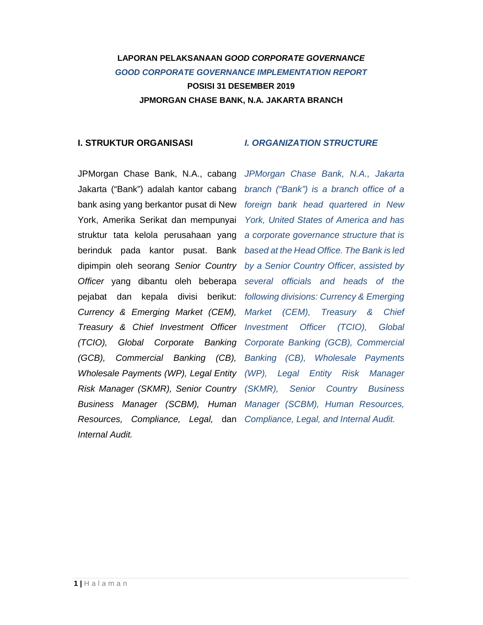## **LAPORAN PELAKSANAAN GOOD CORPORATE GOVERNANCE GOOD CORPORATE GOVERNANCE IMPLEMENTATION REPORT**

**POSISI 31 DESEMBER 2019 JPMORGAN CHASE BANK, N.A. JAKARTA BRANCH** 

### **I. STRUKTUR ORGANISASI**

### **I. ORGANIZATION STRUCTURE**

JPMorgan Chase Bank, N.A., cabang JPMorgan Chase Bank, N.A., Jakarta Jakarta ("Bank") adalah kantor cabang branch ("Bank") is a branch office of a bank asing yang berkantor pusat di New foreign bank head quartered in New York, Amerika Serikat dan mempunyai York, United States of America and has struktur tata kelola perusahaan yang a corporate governance structure that is berinduk pada kantor pusat. Bank based at the Head Office. The Bank is led dipimpin oleh seorang Senior Country by a Senior Country Officer, assisted by Officer yang dibantu oleh beberapa several officials and heads of the pejabat dan kepala divisi berikut: following divisions: Currency & Emerging Currency & Emerging Market (CEM), Market (CEM), Treasury & Chief Investment Officer Investment Officer (TCIO), Global (TCIO), Global Corporate Banking Corporate Banking (GCB), Commercial (GCB), Commercial Banking (CB), Banking (CB), Wholesale Payments Wholesale Payments (WP), Legal Entity (WP), Legal Entity Risk Manager Risk Manager (SKMR), Senior Country Business Manager (SCBM), Human Manager (SCBM), Human Resources, Resources, Compliance, Legal, dan Compliance, Legal, and Internal Audit. Internal Audit.

Treasury & Chief Senior Country Business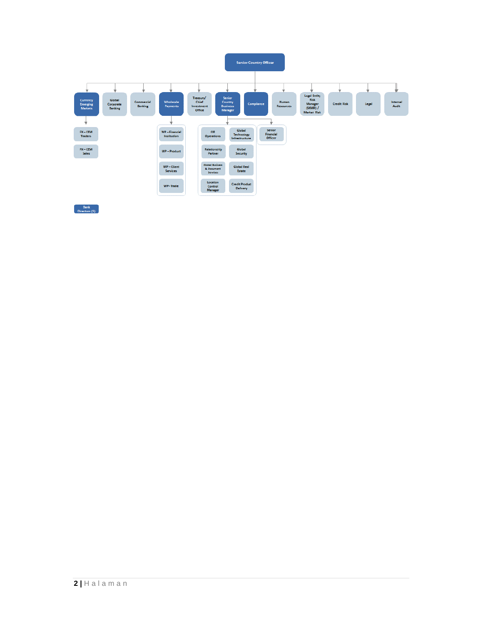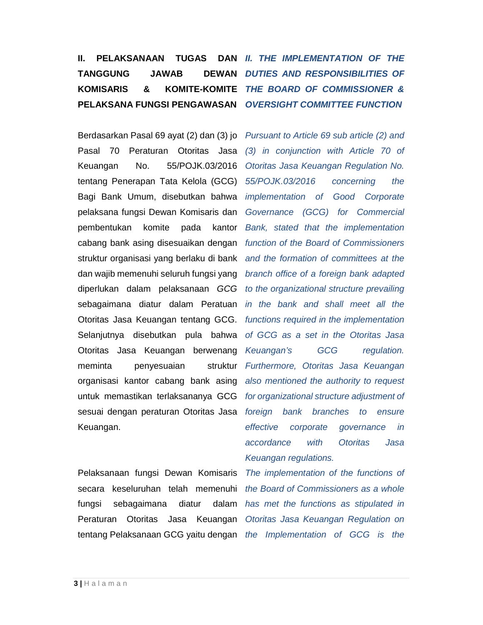### **II. PELAKSANAAN TUGAS TANGGUNG JAWAB KOMISARIS & KOMITE-KOMITE THE BOARD OF COMMISSIONER & PELAKSANA FUNGSI PENGAWASAN OVERSIGHT COMMITTEE FUNCTION**  DAN II. THE IMPLEMENTATION OF THE **DEWAN DUTIES AND RESPONSIBILITIES OF**

Pasal 70 Peraturan Otoritas Jasa (3) in conjunction with Article 70 of Keuangan No. 55/POJK.03/2016 Otoritas Jasa Keuangan Regulation No. tentang Penerapan Tata Kelola (GCG) 55/POJK.03/2016 concerning the Bagi Bank Umum, disebutkan bahwa *implementation of Good Corporate* pelaksana fungsi Dewan Komisaris dan pembentukan komite pada kantor cabang bank asing disesuaikan dengan struktur organisasi yang berlaku di bank dan wajib memenuhi seluruh fungsi yang diperlukan dalam pelaksanaan GCG sebagaimana diatur dalam Peratuan Otoritas Jasa Keuangan tentang GCG. functions required in the implementation Selanjutnya disebutkan pula bahwa Otoritas Jasa Keuangan berwenang meminta penyesuaian organisasi kantor cabang bank asing untuk memastikan terlaksananya GCG sesuai dengan peraturan Otoritas Jasa Keuangan.

Pelaksanaan fungsi Dewan Komisaris secara keseluruhan telah memenuhi the Board of Commissioners as a whole fungsi sebagaimana diatur Peraturan Otoritas Jasa Keuangan Otoritas Jasa Keuangan Regulation on tentang Pelaksanaan GCG yaitu dengan the Implementation of GCG is the

Berdasarkan Pasal 69 ayat (2) dan (3) jo Pursuant to Article 69 sub article (2) and Governance (GCG) for Commercial Bank, stated that the implementation function of the Board of Commissioners and the formation of committees at the branch office of a foreign bank adapted to the organizational structure prevailing in the bank and shall meet all the of GCG as a set in the Otoritas Jasa Keuangan's GCG regulation. struktur Furthermore, Otoritas Jasa Keuangan also mentioned the authority to request for organizational structure adjustment of foreign bank branches to ensure effective corporate governance in accordance with Otoritas Jasa Keuangan regulations.

> The implementation of the functions of dalam has met the functions as stipulated in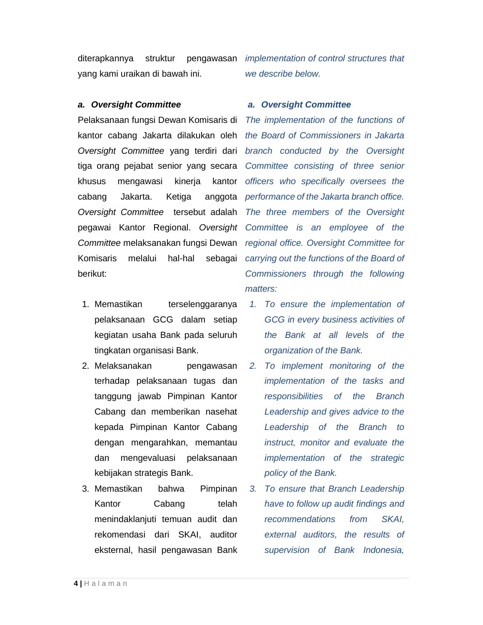yang kami uraikan di bawah ini.

### **a. Oversight Committee**

Pelaksanaan fungsi Dewan Komisaris di kantor cabang Jakarta dilakukan oleh Oversight Committee yang terdiri dari branch conducted by the Oversight tiga orang pejabat senior yang secara Committee consisting of three senior khusus mengawasi kinerja cabang Jakarta. Ketiga anggota performance of the Jakarta branch office. Oversight Committee tersebut adalah pegawai Kantor Regional. Oversight Committee is an employee of the Committee melaksanakan fungsi Dewan regional office. Oversight Committee for Komisaris melalui hal-hal berikut:

- 1. Memastikan terselenggaranya pelaksanaan GCG dalam setiap kegiatan usaha Bank pada seluruh tingkatan organisasi Bank.
- 2. Melaksanakan pengawasan terhadap pelaksanaan tugas dan tanggung jawab Pimpinan Kantor Cabang dan memberikan nasehat kepada Pimpinan Kantor Cabang dengan mengarahkan, memantau dan mengevaluasi pelaksanaan kebijakan strategis Bank.
- 3. Memastikan bahwa Pimpinan Kantor Cabang telah menindaklanjuti temuan audit dan rekomendasi dari SKAI, auditor eksternal, hasil pengawasan Bank

diterapkannya struktur pengawasan *implementation* of control structures that we describe below.

### **a. Oversight Committee**

The implementation of the functions of the Board of Commissioners in Jakarta kantor officers who specifically oversees the The three members of the Oversight sebagai carrying out the functions of the Board of Commissioners through the following matters:

- 1. To ensure the implementation of GCG in every business activities of the Bank at all levels of the organization of the Bank.
- 2. To implement monitoring of the implementation of the tasks and responsibilities of the Branch Leadership and gives advice to the Leadership of the Branch to instruct, monitor and evaluate the implementation of the strategic policy of the Bank.
- 3. To ensure that Branch Leadership have to follow up audit findings and recommendations from SKAI, external auditors, the results of supervision of Bank Indonesia,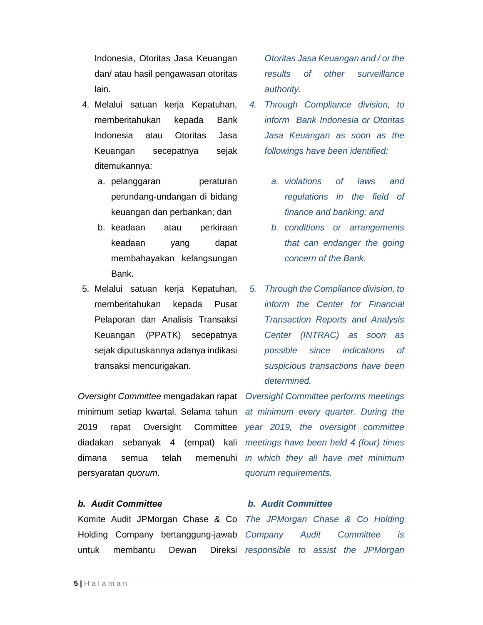Indonesia, Otoritas Jasa Keuangan dan/ atau hasil pengawasan otoritas lain.

- 4. Melalui satuan kerja Kepatuhan, memberitahukan kepada Bank Indonesia atau Otoritas Jasa Keuangan secepatnya sejak ditemukannya:
	- a. pelanggaran **peraturan** perundang-undangan di bidang keuangan dan perbankan; dan
	- b. keadaan atau perkiraan keadaan yang dapat membahayakan kelangsungan Bank.
- 5. Melalui satuan kerja Kepatuhan, memberitahukan kepada Pusat Pelaporan dan Analisis Transaksi Keuangan (PPATK) secepatnya sejak diputuskannya adanya indikasi transaksi mencurigakan.

Oversight Committee mengadakan rapat Oversight Committee performs meetings minimum setiap kwartal. Selama tahun at minimum every quarter. During the 2019 rapat Oversight Committee year 2019, the oversight committee diadakan sebanyak 4 (empat) kali meetings have been held 4 (four) times dimana semua telah memenuhi in which-they-all-have-met-minimum persyaratan quorum.

### **b. Audit Committee**

Komite Audit JPMorgan Chase & Co The JPMorgan Chase & Co Holding Holding Company bertanggung-jawab Company Audit Committee is untuk membantu Dewan

Otoritas Jasa Keuangan and / or the results of other surveillance authority.

- 4. Through Compliance division, to inform Bank Indonesia or Otoritas Jasa Keuangan as soon as the followings have been identified:
	- a. violations of laws and regulations in the field of finance and banking; and
	- b. conditions or arrangements that can endanger the going concern of the Bank.
- 5. Through the Compliance division, to inform the Center for Financial Transaction Reports and Analysis Center (INTRAC) as soon as possible since indications of suspicious transactions have been determined.

quorum requirements.

### **b. Audit Committee**

Direksi responsible to assist the JPMorgan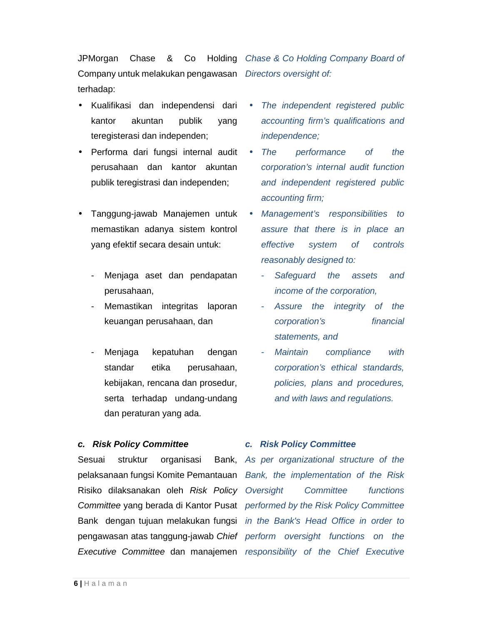JPMorgan Chase & Co Company untuk melakukan pengawasan Directors oversight of: terhadap: Holding Chase & Co Holding Company Board of

- Kualifikasi dan independensi dari kantor akuntan publik yang teregisterasi dan independen;
- Performa dari fungsi internal audit perusahaan dan kantor akuntan publik teregistrasi dan independen;
- Tanggung-jawab Manajemen untuk memastikan adanya sistem kontrol yang efektif secara desain untuk:
	- Menjaga aset dan pendapatan perusahaan,
	- Memastikan integritas laporan keuangan perusahaan, dan
	- Menjaga kepatuhan dengan standar etika perusahaan, kebijakan, rencana dan prosedur, serta terhadap undang-undang dan peraturan yang ada.

### **c. Risk Policy Committee**

Sesuai struktur organisasi pelaksanaan fungsi Komite Pemantauan Bank, the implementation of the Risk Risiko dilaksanakan oleh Risk Policy Oversight Committee yang berada di Kantor Pusat performed by the Risk Policy Committee Bank dengan tujuan melakukan fungsi in the Bank's Head Office in order to pengawasan atas tanggung-jawab Chief perform oversight functions on the Executive Committee dan manajemen responsibility of the Chief Executive

- The independent registered public accounting firm's qualifications and independence;
- The performance of the corporation's internal audit function and independent registered public accounting firm;
- Management's responsibilities to assure that there is in place an effective system of controls reasonably designed to:
	- Safeguard the assets and income of the corporation,
	- Assure the integrity of the corporation's financial statements, and
	- Maintain compliance with corporation's ethical standards, policies, plans and procedures, and with laws and regulations.

### **c. Risk Policy Committee**

Bank, As per organizational structure of the Committee functions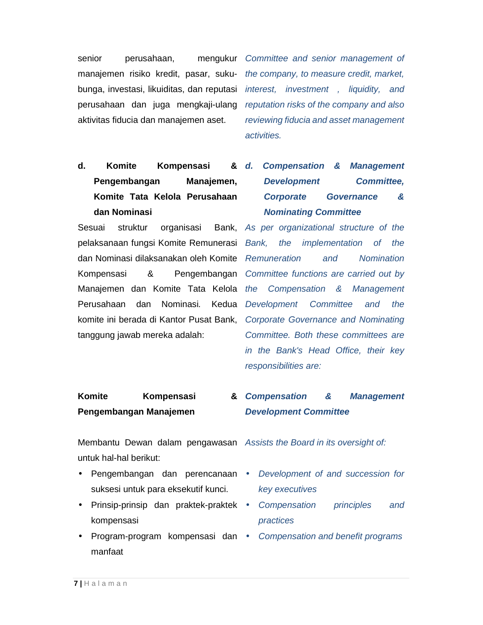senior perusahaan, perusahaan dan juga mengkaji-ulang aktivitas fiducia dan manajemen aset.

manajemen risiko kredit, pasar, suku- the company, to measure credit, market, bunga, investasi, likuiditas, dan reputasi interest, investment, liquidity, and mengukur Committee and senior management of reputation risks of the company and also reviewing fiducia and asset management activities.

## **d. Komite Kompensasi & Pengembangan Manajemen, Komite Tata Kelola Perusahaan dan Nominasi**

Sesuai struktur organisasi pelaksanaan fungsi Komite Remunerasi Bank, dan Nominasi dilaksanakan oleh Komite Remuneration and Nomination Kompensasi & Pengembangan Committee functions are carried out by Manajemen dan Komite Tata Kelola the Compensation & Management Perusahaan dan Nominasi. komite ini berada di Kantor Pusat Bank, Corporate Governance and Nominating tanggung jawab mereka adalah:

## **Compensation & Management Development Committee, Corporate Governance & Nominating Committee**

Bank, As per organizational structure of the the implementation of the Kedua Development Committee and the Committee. Both these committees are in the Bank's Head Office, their key responsibilities are:

#### **Komite Kompensasi & Pengembangan Manajemen Compensation & Management Development Committee**

Membantu Dewan dalam pengawasan Assists the Board in its oversight of: untuk hal-hal berikut:

- Pengembangan dan perencanaan Development of and succession for suksesi untuk para eksekutif kunci.
- Prinsip-prinsip dan praktek-praktek kompensasi
- Program-program kompensasi dan Compensation and benefit programs manfaat

- key executives
- Compensation principles and practices
-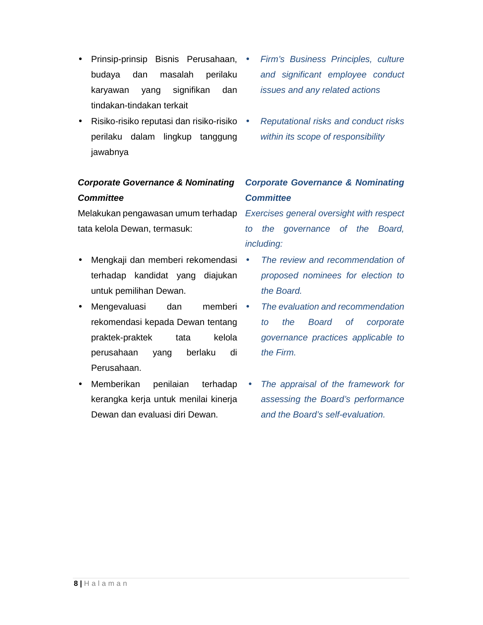- Prinsip-prinsip Bisnis Perusahaan, budaya dan masalah perilaku karyawan yang signifikan dan tindakan-tindakan terkait
- Risiko-risiko reputasi dan risiko-risiko perilaku dalam lingkup tanggung jawabnya

## **Corporate Governance & Nominating Committee**

Melakukan pengawasan umum terhadap Exercises general oversight with respect tata kelola Dewan, termasuk:

- Mengkaji dan memberi rekomendasi terhadap kandidat yang diajukan untuk pemilihan Dewan.
- Mengevaluasi dan memberi rekomendasi kepada Dewan tentang praktek-praktek tata kelola perusahaan yang berlaku di Perusahaan.
- Memberikan penilaian terhadap kerangka kerja untuk menilai kinerja Dewan dan evaluasi diri Dewan.
- Firm's Business Principles, culture and significant employee conduct issues and any related actions
- Reputational risks and conduct risks within its scope of responsibility

## **Corporate Governance & Nominating Committee**

to the governance of the Board, including:

- The review and recommendation of proposed nominees for election to the Board.
- The evaluation and recommendation to the Board of corporate governance practices applicable to the Firm.
- The appraisal of the framework for assessing the Board's performance and the Board's self-evaluation.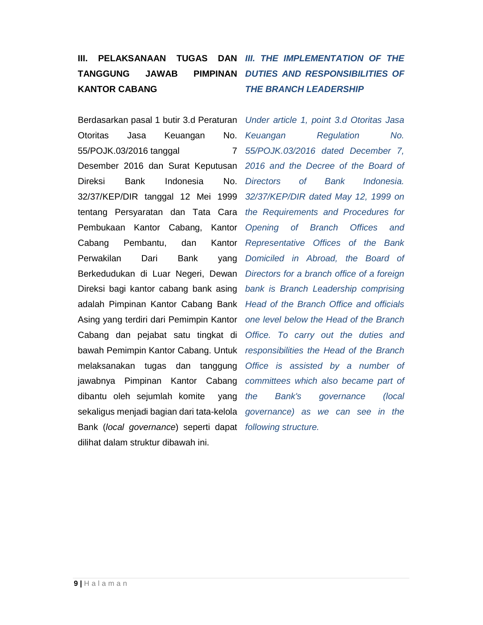## **TANGGUNG JAWAB KANTOR CABANG**

Berdasarkan pasal 1 butir 3.d Peraturan Under article 1, point 3.d Otoritas Jasa Otoritas Jasa Keuangan 55/POJK.03/2016 tanggal 7 Desember 2016 dan Surat Keputusan 2016 and the Decree of the Board of Direksi Bank Indonesia No. Directors 32/37/KEP/DIR tanggal 12 Mei 1999 32/37/KEP/DIR dated May 12, 1999 on tentang Persyaratan dan Tata Cara the Requirements and Procedures for Pembukaan Kantor Cabang, Kantor Opening of Branch Offices and Cabang Pembantu, dan Perwakilan Dari Bank Berkedudukan di Luar Negeri, Dewan Directors for a branch office of a foreign Direksi bagi kantor cabang bank asing bank is Branch Leadership comprising adalah Pimpinan Kantor Cabang Bank Head of the Branch Office and officials Asing yang terdiri dari Pemimpin Kantor one level below the Head of the Branch Cabang dan pejabat satu tingkat di Office. To carry out the duties and bawah Pemimpin Kantor Cabang. Untuk responsibilities the Head of the Branch melaksanakan tugas dan tanggung Office is assisted by a number of jawabnya Pimpinan Kantor Cabang committees which also became part of dibantu oleh sejumlah komite yang the sekaligus menjadi bagian dari tata-kelola governance) as we can see in the Bank (local governance) seperti dapat following structure. dilihat dalam struktur dibawah ini.

## **III. PELAKSANAAN TUGAS DAN III. THE IMPLEMENTATION OF THE PIMPINAN DUTIES AND RESPONSIBILITIES OF THE BRANCH LEADERSHIP**

No. Keuangan Regulation No. 55/POJK.03/2016 dated December 7, of Bank Indonesia. Kantor Representative Offices of the Bank vang Domiciled in Abroad, the Board of Bank's governance (local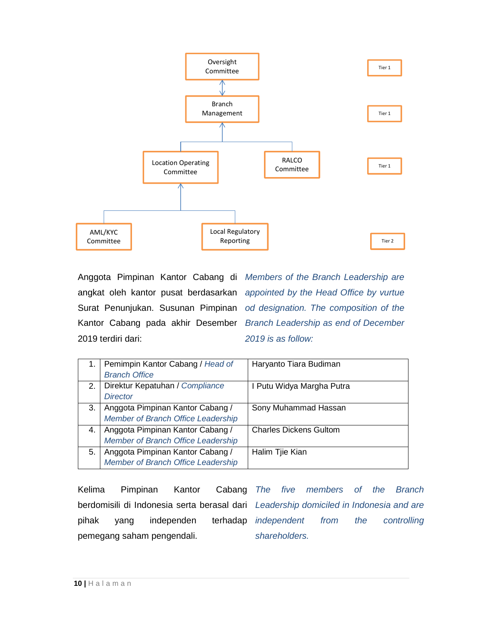

Anggota Pimpinan Kantor Cabang di Members of the Branch Leadership are angkat oleh kantor pusat berdasarkan Surat Penunjukan. Susunan Pimpinan od designation. The composition of the Kantor Cabang pada akhir Desember Branch Leadership as end of December 2019 terdiri dari:

appointed by the Head Office by vurtue 2019 is as follow:

|     | Pemimpin Kantor Cabang / Head of<br><b>Branch Office</b>               | Haryanto Tiara Budiman        |
|-----|------------------------------------------------------------------------|-------------------------------|
| 2.1 | Direktur Kepatuhan / Compliance<br><b>Director</b>                     | I Putu Widya Margha Putra     |
| 3.  | Anggota Pimpinan Kantor Cabang /<br>Member of Branch Office Leadership | Sony Muhammad Hassan          |
| 4.  | Anggota Pimpinan Kantor Cabang /<br>Member of Branch Office Leadership | <b>Charles Dickens Gultom</b> |
| 5.  | Anggota Pimpinan Kantor Cabang /<br>Member of Branch Office Leadership | Halim Tjie Kian               |

Kelima Pimpinan Kantor Cabang berdomisili di Indonesia serta berasal dari pihak yang independen terhadap pemegang saham pengendali. The five members of the Branch Leadership domiciled in Indonesia and are independent from the controlling shareholders.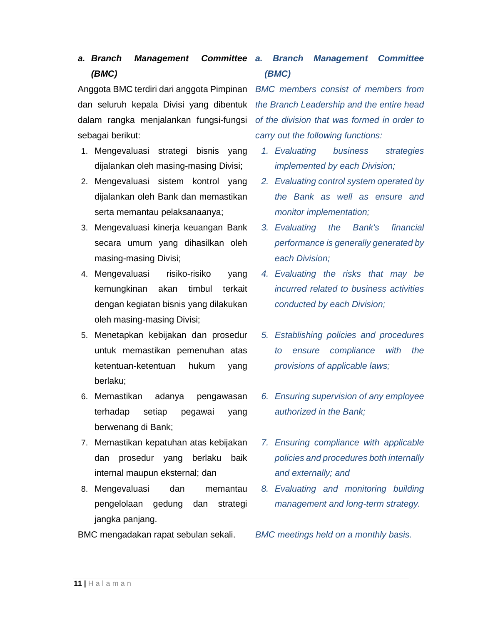## **a. Branch Management (BMC)**

dan seluruh kepala Divisi yang dibentuk dalam rangka menjalankan fungsi-fungsi sebagai berikut:

- 1. Mengevaluasi strategi bisnis yang dijalankan oleh masing-masing Divisi;
- 2. Mengevaluasi sistem kontrol yang dijalankan oleh Bank dan memastikan serta memantau pelaksanaanya;
- 3. Mengevaluasi kinerja keuangan Bank secara umum yang dihasilkan oleh masing-masing Divisi;
- 4. Mengevaluasi risiko-risiko yang kemungkinan akan timbul terkait dengan kegiatan bisnis yang dilakukan oleh masing-masing Divisi;
- 5. Menetapkan kebijakan dan prosedur untuk memastikan pemenuhan atas ketentuan-ketentuan hukum yang berlaku;
- 6. Memastikan adanya pengawasan terhadap setiap pegawai yang berwenang di Bank;
- 7. Memastikan kepatuhan atas kebijakan dan prosedur yang berlaku baik internal maupun eksternal; dan
- 8. Mengevaluasi dan memantau pengelolaan gedung dan strategi jangka panjang.
- BMC mengadakan rapat sebulan sekali.

## **Committee a. Branch Management Committee (BMC)**

Anggota BMC terdiri dari anggota Pimpinan BMC members consist of members from the Branch Leadership and the entire head of the division that was formed in order to carry out the following functions:

- 1. Evaluating business strategies implemented by each Division;
- 2. Evaluating control system operated by the Bank as well as ensure and monitor implementation;
- 3. Evaluating the Bank's financial performance is generally generated by each Division;
- 4. Evaluating the risks that may be incurred related to business activities conducted by each Division;
- 5. Establishing policies and procedures to ensure compliance with the provisions of applicable laws;
- 6. Ensuring supervision of any employee authorized in the Bank;
- 7. Ensuring compliance with applicable policies and procedures both internally and externally; and
- 8. Evaluating and monitoring building management and long-term strategy.

BMC meetings held on a monthly basis.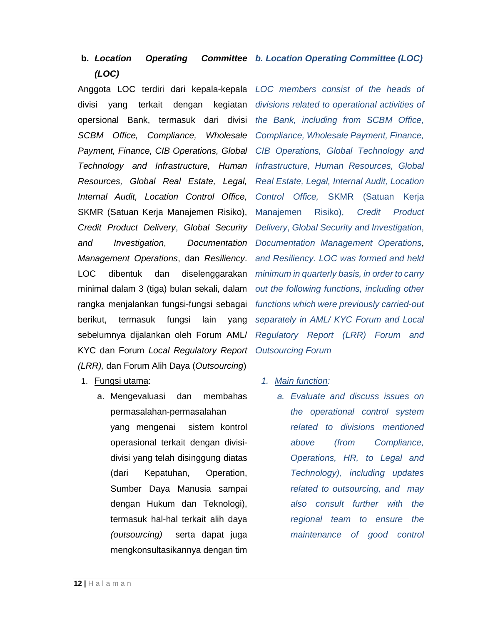#### **b. Location Operating (LOC) b. Location Operating Committee (LOC)**

Anggota LOC terdiri dari kepala-kepala divisi yang terkait dengan kegiatan opersional Bank, termasuk dari divisi SCBM Office, Compliance, Wholesale Payment, Finance, CIB Operations, Global Technology and Infrastructure, Human Resources, Global Real Estate, Legal, Internal Audit, Location Control Office, SKMR (Satuan Kerja Manajemen Risiko), Credit Product Delivery, Global Security and Investigation, Documentation Management Operations, dan Resiliency. LOC dibentuk dan diselenggarakan minimal dalam 3 (tiga) bulan sekali, dalam rangka menjalankan fungsi-fungsi sebagai berikut, termasuk fungsi lain yang sebelumnya dijalankan oleh Forum AML/ KYC dan Forum Local Regulatory Report (LRR), dan Forum Alih Daya (Outsourcing)

- 1. Fungsi utama:
	- a. Mengevaluasi dan membahas permasalahan-permasalahan yang mengenai sistem kontrol operasional terkait dengan divisidivisi yang telah disinggung diatas (dari Kepatuhan, Operation, Sumber Daya Manusia sampai dengan Hukum dan Teknologi), termasuk hal-hal terkait alih daya (outsourcing) serta dapat juga mengkonsultasikannya dengan tim

LOC members consist of the heads of divisions related to operational activities of the Bank, including from SCBM Office, Compliance, Wholesale Payment, Finance, CIB Operations, Global Technology and Infrastructure, Human Resources, Global Real Estate, Legal, Internal Audit, Location Control Office, SKMR (Satuan Kerja Manajemen Risiko), Credit Product Delivery, Global Security and Investigation, Documentation Management Operations, and Resiliency. LOC was formed and held minimum in quarterly basis, in order to carry out the following functions, including other functions which were previously carried-out separately in AML/ KYC Forum and Local Regulatory Report (LRR) Forum and Outsourcing Forum

- 1. Main function:
	- a. Evaluate and discuss issues on the operational control system related to divisions mentioned above (from Compliance, Operations, HR, to Legal and Technology), including updates related to outsourcing, and may also consult further with the regional team to ensure the maintenance of good control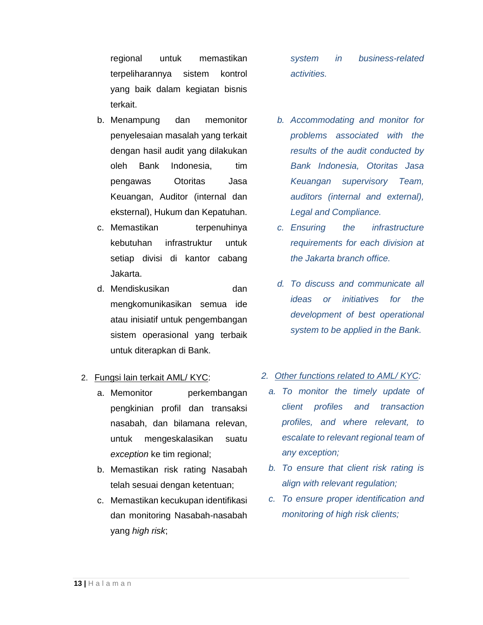regional untuk memastikan terpeliharannya sistem kontrol yang baik dalam kegiatan bisnis terkait.

- b. Menampung dan memonitor penyelesaian masalah yang terkait dengan hasil audit yang dilakukan oleh Bank Indonesia, tim pengawas Otoritas Jasa Keuangan, Auditor (internal dan eksternal), Hukum dan Kepatuhan.
- c. Memastikan terpenuhinya kebutuhan infrastruktur untuk setiap divisi di kantor cabang Jakarta.
- d. Mendiskusikan dan mengkomunikasikan semua ide atau inisiatif untuk pengembangan sistem operasional yang terbaik untuk diterapkan di Bank.

### 2. Fungsi lain terkait AML/ KYC:

- a. Memonitor perkembangan pengkinian profil dan transaksi nasabah, dan bilamana relevan, untuk mengeskalasikan suatu exception ke tim regional;
- b. Memastikan risk rating Nasabah telah sesuai dengan ketentuan;
- c. Memastikan kecukupan identifikasi dan monitoring Nasabah-nasabah yang high risk;

system in business-related activities.

- b. Accommodating and monitor for problems associated with the results of the audit conducted by Bank Indonesia, Otoritas Jasa Keuangan supervisory Team, auditors (internal and external), Legal and Compliance.
- c. Ensuring the infrastructure requirements for each division at the Jakarta branch office.
- d. To discuss and communicate all ideas or initiatives for the development of best operational system to be applied in the Bank.
- 2. Other functions related to AML/ KYC:
	- a. To monitor the timely update of client profiles and transaction profiles, and where relevant, to escalate to relevant regional team of any exception;
	- b. To ensure that client risk rating is align with relevant regulation;
	- c. To ensure proper identification and monitoring of high risk clients;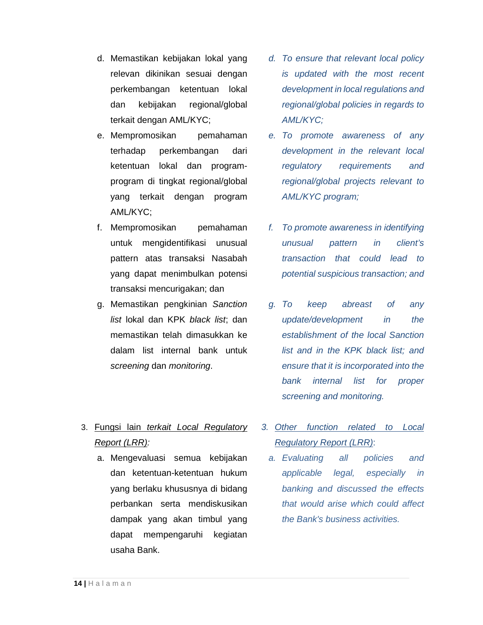- d. Memastikan kebijakan lokal yang relevan dikinikan sesuai dengan perkembangan ketentuan lokal dan kebijakan regional/global terkait dengan AML/KYC;
- e. Mempromosikan pemahaman terhadap perkembangan dari ketentuan lokal dan programprogram di tingkat regional/global yang terkait dengan program AML/KYC;
- f. Mempromosikan pemahaman untuk mengidentifikasi unusual pattern atas transaksi Nasabah yang dapat menimbulkan potensi transaksi mencurigakan; dan
- g. Memastikan pengkinian Sanction list lokal dan KPK black list; dan memastikan telah dimasukkan ke dalam list internal bank untuk screening dan monitoring.

## 3. Fungsi lain terkait Local Regulatory Report (LRR):

a. Mengevaluasi semua kebijakan dan ketentuan-ketentuan hukum yang berlaku khususnya di bidang perbankan serta mendiskusikan dampak yang akan timbul yang dapat mempengaruhi kegiatan usaha Bank.

- d. To ensure that relevant local policy is updated with the most recent development in local regulations and regional/global policies in regards to AML/KYC;
- e. To promote awareness of any development in the relevant local regulatory requirements and regional/global projects relevant to AML/KYC program;
- f. To promote awareness in identifying unusual pattern in client's transaction that could lead to potential suspicious transaction; and
- g. To keep abreast of any update/development in the establishment of the local Sanction list and in the KPK black list; and ensure that it is incorporated into the bank internal list for proper screening and monitoring.
- 3. Other function related to Local Regulatory Report (LRR):
	- a. Evaluating all policies and applicable legal, especially in banking and discussed the effects that would arise which could affect the Bank's business activities.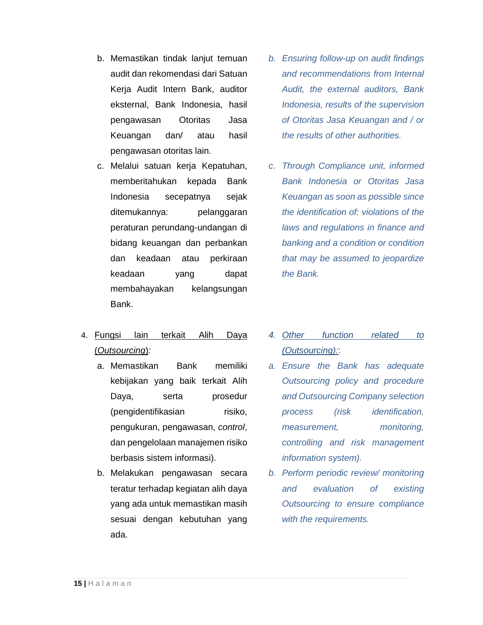- b. Memastikan tindak lanjut temuan audit dan rekomendasi dari Satuan Kerja Audit Intern Bank, auditor eksternal, Bank Indonesia, hasil pengawasan Otoritas Jasa Keuangan dan/ atau hasil pengawasan otoritas lain.
- c. Melalui satuan kerja Kepatuhan, memberitahukan kepada Bank Indonesia secepatnya sejak ditemukannya: pelanggaran peraturan perundang-undangan di bidang keuangan dan perbankan dan keadaan atau perkiraan keadaan yang dapat membahayakan kelangsungan Bank.
- 4. Fungsi lain terkait Alih Daya (Outsourcing):
	- a. Memastikan Bank memiliki kebijakan yang baik terkait Alih Daya, serta prosedur (pengidentifikasian risiko, pengukuran, pengawasan, control, dan pengelolaan manajemen risiko berbasis sistem informasi).
	- b. Melakukan pengawasan secara teratur terhadap kegiatan alih daya yang ada untuk memastikan masih sesuai dengan kebutuhan yang ada.
- b. Ensuring follow-up on audit findings and recommendations from Internal Audit, the external auditors, Bank Indonesia, results of the supervision of Otoritas Jasa Keuangan and / or the results of other authorities.
- c. Through Compliance unit, informed Bank Indonesia or Otoritas Jasa Keuangan as soon as possible since the identification of: violations of the laws and regulations in finance and banking and a condition or condition that may be assumed to jeopardize the Bank.
- 4. Other function related to (Outsourcing)::
- a. Ensure the Bank has adequate Outsourcing policy and procedure and Outsourcing Company selection process (risk identification, measurement, monitoring, controlling and risk management information system).
- b. Perform periodic review/ monitoring and evaluation of existing Outsourcing to ensure compliance with the requirements.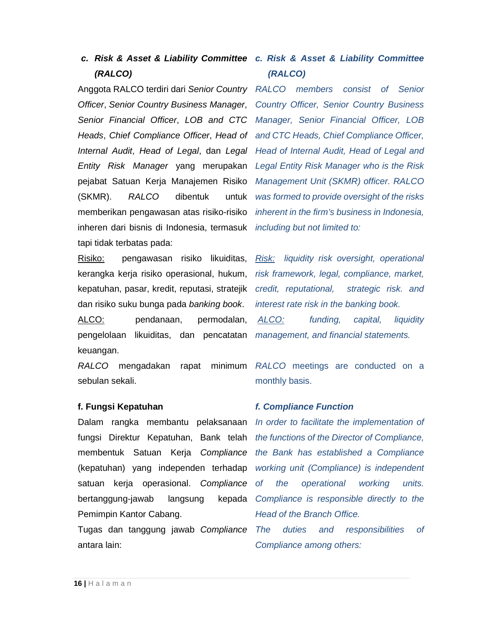# **(RALCO)**

Anggota RALCO terdiri dari Senior Country RALCO members consist of Senior Officer, Senior Country Business Manager, Country Officer, Senior Country Business Senior Financial Officer, LOB and CTC Manager, Senior Financial Officer, LOB Heads, Chief Compliance Officer, Head of and CTC Heads, Chief Compliance Officer, Internal Audit, Head of Legal, dan Legal Head of Internal Audit, Head of Legal and Entity Risk Manager yang merupakan Legal Entity Risk Manager who is the Risk pejabat Satuan Kerja Manajemen Risiko Management Unit (SKMR) officer. RALCO (SKMR). RALCO dibentuk untuk memberikan pengawasan atas risiko-risiko inheren dari bisnis di Indonesia, termasuk *including but not limited to:* tapi tidak terbatas pada:

Risiko: pengawasan risiko likuiditas, kerangka kerja risiko operasional, hukum, kepatuhan, pasar, kredit, reputasi, stratejik dan risiko suku bunga pada banking book. ALCO: pendanaan, permodalan, pengelolaan likuiditas, dan pencatatan keuangan.

sebulan sekali.

### **f. Fungsi Kepatuhan**

Dalam rangka membantu pelaksanaan In order to facilitate the implementation of fungsi Direktur Kepatuhan, Bank telah membentuk Satuan Kerja Compliance (kepatuhan) yang independen terhadap satuan kerja operasional. Compliance of bertanggung-jawab langsung kepada Pemimpin Kantor Cabang.

Tugas dan tanggung jawab Compliance antara lain:

## **c. Risk & Asset & Liability Committee c. Risk & Asset & Liability Committee (RALCO)**

was formed to provide oversight of the risks inherent in the firm's business in Indonesia,

Risk: liquidity risk oversight, operational risk framework, legal, compliance, market, credit, reputational, strategic risk. and interest rate risk in the banking book. ALCO: funding, capital, liquidity management, and financial statements.

RALCO mengadakan rapat minimum RALCO meetings are conducted on a monthly basis.

### **f. Compliance Function**

the functions of the Director of Compliance, the Bank has established a Compliance working unit (Compliance) is independent the operational working units. Compliance is responsible directly to the Head of the Branch Office.

The duties and responsibilities of Compliance among others: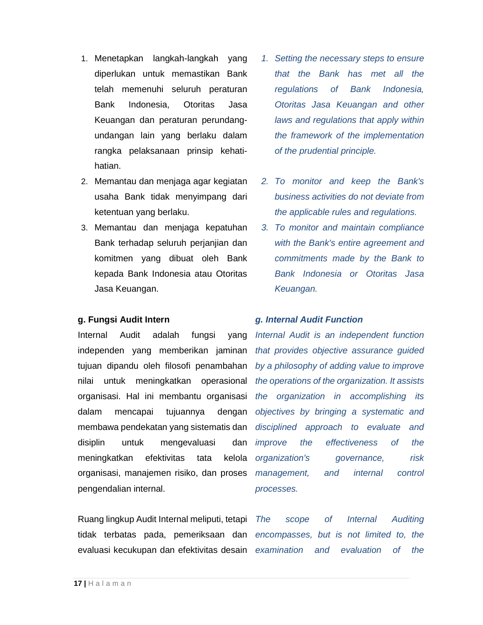- 1. Menetapkan langkah-langkah yang diperlukan untuk memastikan Bank telah memenuhi seluruh peraturan Bank Indonesia, Otoritas Jasa Keuangan dan peraturan perundangundangan lain yang berlaku dalam rangka pelaksanaan prinsip kehatihatian.
- 2. Memantau dan menjaga agar kegiatan usaha Bank tidak menyimpang dari ketentuan yang berlaku.
- 3. Memantau dan menjaga kepatuhan Bank terhadap seluruh perjanjian dan komitmen yang dibuat oleh Bank kepada Bank Indonesia atau Otoritas Jasa Keuangan.

### **g. Fungsi Audit Intern**

Internal Audit adalah fungsi yang independen yang memberikan jaminan tujuan dipandu oleh filosofi penambahan nilai untuk meningkatkan operasional organisasi. Hal ini membantu organisasi dalam mencapai tujuannya dengan membawa pendekatan yang sistematis dan disiplin untuk mengevaluasi dan meningkatkan efektivitas tata kelola organisasi, manajemen risiko, dan proses pengendalian internal.

Ruang lingkup Audit Internal meliputi, tetapi evaluasi kecukupan dan efektivitas desain examination

- 1. Setting the necessary steps to ensure that the Bank has met all the regulations of Bank Indonesia, Otoritas Jasa Keuangan and other laws and regulations that apply within the framework of the implementation of the prudential principle.
- 2. To monitor and keep the Bank's business activities do not deviate from the applicable rules and regulations.
- 3. To monitor and maintain compliance with the Bank's entire agreement and commitments made by the Bank to Bank Indonesia or Otoritas Jasa Keuangan.

### **g. Internal Audit Function**

Internal Audit is an independent function that provides objective assurance guided by a philosophy of adding value to improve the operations of the organization. It assists the organization in accomplishing its objectives by bringing a systematic and disciplined approach to evaluate and improve the effectiveness of the organization's governance, risk management, and internal control processes.

tidak terbatas pada, pemeriksaan dan encompasses, but is not limited to, the The scope of Internal Auditing and evaluation of the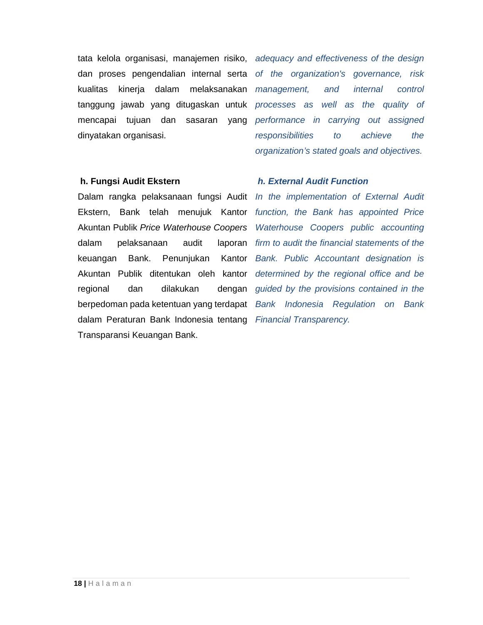tata kelola organisasi, manajemen risiko, adequacy and effectiveness of the design dan proses pengendalian internal serta of the organization's governance, risk kualitas kinerja dalam melaksanakan tanggung jawab yang ditugaskan untuk mencapai tujuan dan sasaran yang dinyatakan organisasi.

management, and internal control processes as well as the quality of performance in carrying out assigned responsibilities to achieve the organization's stated goals and objectives.

### **h. Fungsi Audit Ekstern**

Dalam rangka pelaksanaan fungsi Audit In the implementation of External Audit Ekstern, Bank telah menujuk Kantor Akuntan Publik Price Waterhouse Coopers dalam pelaksanaan audit keuangan Bank. Penunjukan Akuntan Publik ditentukan oleh kantor regional dan dilakukan dengan berpedoman pada ketentuan yang terdapat Bank Indonesia Regulation on Bank dalam Peraturan Bank Indonesia tentang Financial Transparency. Transparansi Keuangan Bank.

### **h. External Audit Function**

function, the Bank has appointed Price Waterhouse Coopers public accounting laporan firm to audit the financial statements of the Kantor Bank. Public Accountant designation is determined by the regional office and be guided by the provisions contained in the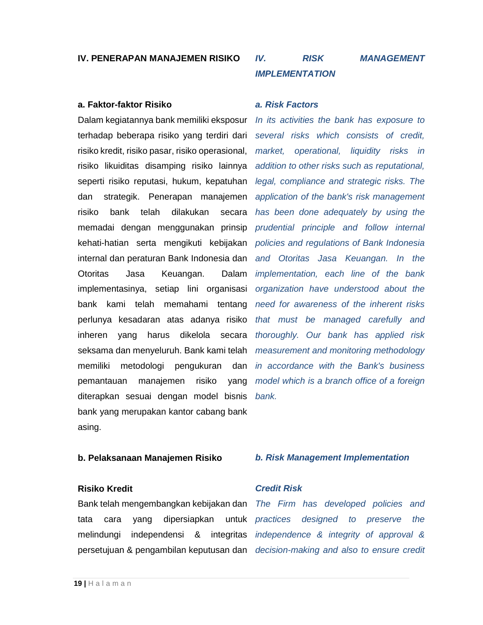### **IV. PENERAPAN MANAJEMEN RISIKO**

### **a. Faktor-faktor Risiko**

Dalam kegiatannya bank memiliki eksposur terhadap beberapa risiko yang terdiri dari risiko kredit, risiko pasar, risiko operasional, risiko likuiditas disamping risiko lainnya seperti risiko reputasi, hukum, kepatuhan dan strategik. Penerapan manajemen risiko bank telah dilakukan secara memadai dengan menggunakan prinsip kehati-hatian serta mengikuti kebijakan internal dan peraturan Bank Indonesia dan Otoritas Jasa Keuangan. Dalam implementasinya, setiap lini organisasi bank kami telah memahami tentang perlunya kesadaran atas adanya risiko inheren yang harus dikelola secara seksama dan menyeluruh. Bank kami telah memiliki metodologi pengukuran dan in accordance with the Bank's business pemantauan manajemen risiko yang diterapkan sesuai dengan model bisnis bank yang merupakan kantor cabang bank asing.

## **IV. RISK MANAGEMENT IMPLEMENTATION**

### **a. Risk Factors**

In its activities the bank has exposure to several risks which consists of credit, market, operational, liquidity risks in addition to other risks such as reputational, legal, compliance and strategic risks. The application of the bank's risk management has been done adequately by using the prudential principle and follow internal policies and regulations of Bank Indonesia and Otoritas Jasa Keuangan. In the implementation, each line of the bank organization have understood about the need for awareness of the inherent risks that must be managed carefully and thoroughly. Our bank has applied risk measurement and monitoring methodology model which is a branch office of a foreign bank.

### **b. Pelaksanaan Manajemen Risiko**

### **Risiko Kredit**

Bank telah mengembangkan kebijakan dan tata cara yang dipersiapkan untuk melindungi independensi & integritas persetujuan & pengambilan keputusan dan

### **b. Risk Management Implementation**

### **Credit Risk**

The Firm has developed policies and practices designed to preserve the independence & integrity of approval & decision-making and also to ensure credit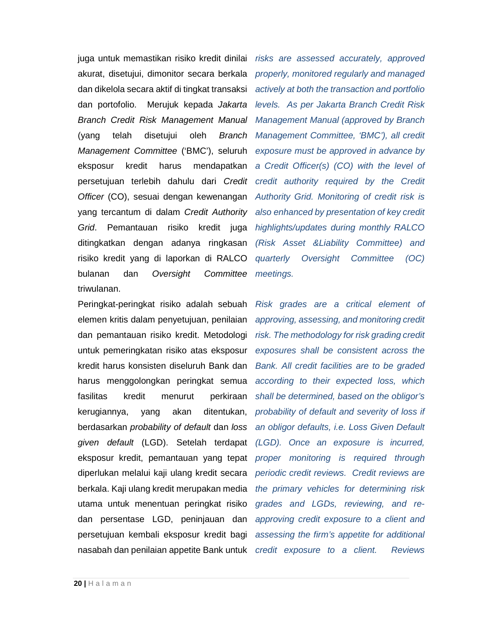juga untuk memastikan risiko kredit dinilai akurat, disetujui, dimonitor secara berkala dan dikelola secara aktif di tingkat transaksi dan portofolio. Merujuk kepada Jakarta Branch Credit Risk Management Manual (yang telah disetujui oleh Branch Management Committee ('BMC'), seluruh eksposur kredit harus mendapatkan persetujuan terlebih dahulu dari Credit Officer (CO), sesuai dengan kewenangan yang tercantum di dalam Credit Authority Grid. Pemantauan risiko kredit juga ditingkatkan dengan adanya ringkasan risiko kredit yang di laporkan di RALCO bulanan dan Oversight Committee triwulanan.

Peringkat-peringkat risiko adalah sebuah elemen kritis dalam penyetujuan, penilaian dan pemantauan risiko kredit. Metodologi untuk pemeringkatan risiko atas eksposur kredit harus konsisten diseluruh Bank dan harus menggolongkan peringkat semua fasilitas kredit menurut perkiraan kerugiannya, yang akan ditentukan, berdasarkan probability of default dan loss given default (LGD). Setelah terdapat eksposur kredit, pemantauan yang tepat diperlukan melalui kaji ulang kredit secara berkala. Kaji ulang kredit merupakan media utama untuk menentuan peringkat risiko dan persentase LGD, peninjauan dan persetujuan kembali eksposur kredit bagi nasabah dan penilaian appetite Bank untuk credit exposure to a client. Reviews

risks are assessed accurately, approved properly, monitored regularly and managed actively at both the transaction and portfolio levels. As per Jakarta Branch Credit Risk Management Manual (approved by Branch Management Committee, 'BMC'), all credit exposure must be approved in advance by a Credit Officer(s) (CO) with the level of credit authority required by the Credit Authority Grid. Monitoring of credit risk is also enhanced by presentation of key credit highlights/updates during monthly RALCO (Risk Asset &Liability Committee) and quarterly Oversight Committee (OC) meetings.

Risk grades are a critical element of approving, assessing, and monitoring credit risk. The methodology for risk grading credit exposures shall be consistent across the Bank. All credit facilities are to be graded according to their expected loss, which shall be determined, based on the obligor's probability of default and severity of loss if an obligor defaults, i.e. Loss Given Default (LGD). Once an exposure is incurred, proper monitoring is required through periodic credit reviews. Credit reviews are the primary vehicles for determining risk grades and LGDs, reviewing, and reapproving credit exposure to a client and assessing the firm's appetite for additional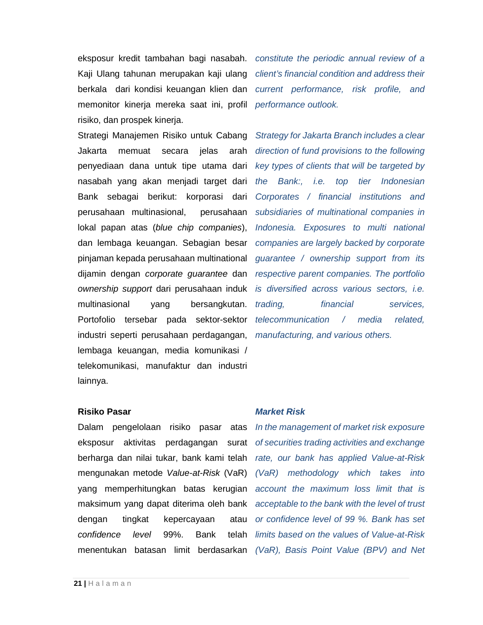Kaji Ulang tahunan merupakan kaji ulang berkala dari kondisi keuangan klien dan memonitor kinerja mereka saat ini, profil risiko, dan prospek kinerja.

Strategi Manajemen Risiko untuk Cabang Jakarta memuat secara jelas arah penyediaan dana untuk tipe utama dari nasabah yang akan menjadi target dari Bank sebagai berikut: korporasi dari perusahaan multinasional, perusahaan lokal papan atas (blue chip companies), dan lembaga keuangan. Sebagian besar pinjaman kepada perusahaan multinational dijamin dengan corporate guarantee dan ownership support dari perusahaan induk multinasional yang bersangkutan. Portofolio tersebar pada sektor-sektor industri seperti perusahaan perdagangan, lembaga keuangan, media komunikasi / telekomunikasi, manufaktur dan industri lainnya.

eksposur kredit tambahan bagi nasabah. constitute the periodic annual review of a client's financial condition and address their current performance, risk profile, and performance outlook.

> Strategy for Jakarta Branch includes a clear direction of fund provisions to the following key types of clients that will be targeted by the Bank:, i.e. top tier Indonesian Corporates / financial institutions and subsidiaries of multinational companies in Indonesia. Exposures to multi national companies are largely backed by corporate guarantee / ownership support from its respective parent companies. The portfolio is diversified across various sectors, i.e. trading, financial services, telecommunication / media related, manufacturing, and various others.

### **Risiko Pasar**

Dalam pengelolaan risiko pasar atas mengunakan metode Value-at-Risk (VaR) yang memperhitungkan batas kerugian maksimum yang dapat diterima oleh bank dengan tingkat kepercayaan atau confidence level 99%. Bank telah

### **Market Risk**

eksposur aktivitas perdagangan surat of securities trading activities and exchange berharga dan nilai tukar, bank kami telah rate, our bank has applied Value-at-Risk menentukan batasan limit berdasarkan (VaR), Basis Point Value (BPV) and Net In the management of market risk exposure (VaR) methodology which takes into account the maximum loss limit that is acceptable to the bank with the level of trust or confidence level of 99 %. Bank has set limits based on the values of Value-at-Risk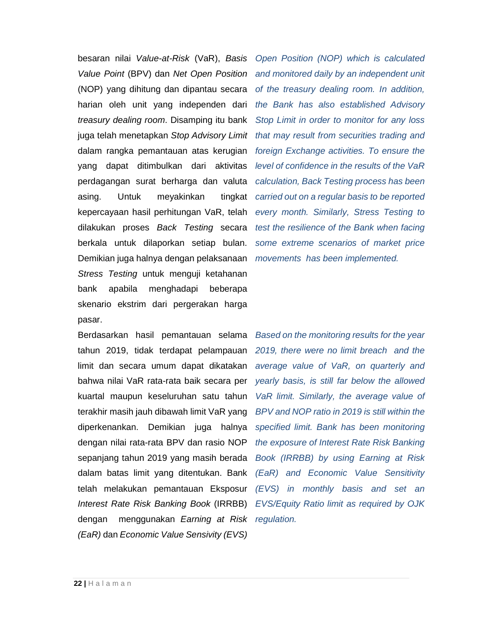besaran nilai Value-at-Risk (VaR), Basis Value Point (BPV) dan Net Open Position (NOP) yang dihitung dan dipantau secara harian oleh unit yang independen dari treasury dealing room. Disamping itu bank juga telah menetapkan Stop Advisory Limit dalam rangka pemantauan atas kerugian yang dapat ditimbulkan dari aktivitas perdagangan surat berharga dan valuta asing. Untuk meyakinkan tingkat kepercayaan hasil perhitungan VaR, telah dilakukan proses Back Testing secara berkala untuk dilaporkan setiap bulan. Demikian juga halnya dengan pelaksanaan Stress Testing untuk menguji ketahanan bank apabila menghadapi beberapa skenario ekstrim dari pergerakan harga pasar.

Berdasarkan hasil pemantauan selama tahun 2019, tidak terdapat pelampauan limit dan secara umum dapat dikatakan bahwa nilai VaR rata-rata baik secara per kuartal maupun keseluruhan satu tahun terakhir masih jauh dibawah limit VaR yang diperkenankan. Demikian juga halnya dengan nilai rata-rata BPV dan rasio NOP sepanjang tahun 2019 yang masih berada dalam batas limit yang ditentukan. Bank telah melakukan pemantauan Eksposur Interest Rate Risk Banking Book (IRRBB) dengan menggunakan Earning at Risk regulation. (EaR) dan Economic Value Sensivity (EVS)

Open Position (NOP) which is calculated and monitored daily by an independent unit of the treasury dealing room. In addition, the Bank has also established Advisory Stop Limit in order to monitor for any loss that may result from securities trading and foreign Exchange activities. To ensure the level of confidence in the results of the VaR calculation, Back Testing process has been carried out on a regular basis to be reported every month. Similarly, Stress Testing to test the resilience of the Bank when facing some extreme scenarios of market price movements has been implemented.

Based on the monitoring results for the year 2019, there were no limit breach and the average value of VaR, on quarterly and yearly basis, is still far below the allowed VaR limit. Similarly, the average value of BPV and NOP ratio in 2019 is still within the specified limit. Bank has been monitoring the exposure of Interest Rate Risk Banking Book (IRRBB) by using Earning at Risk (EaR) and Economic Value Sensitivity (EVS) in monthly basis and set an EVS/Equity Ratio limit as required by OJK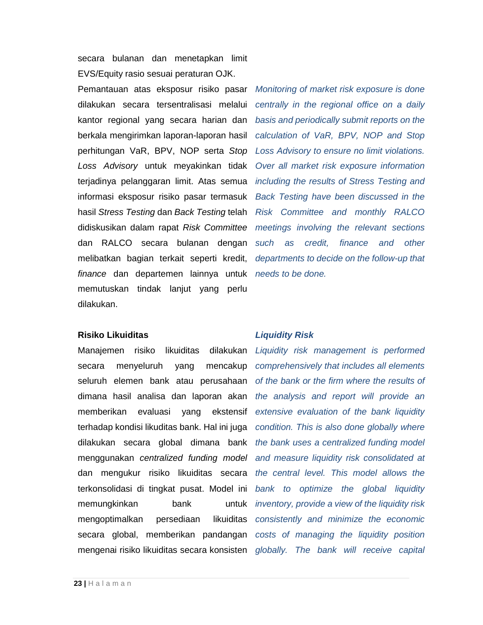secara bulanan dan menetapkan limit EVS/Equity rasio sesuai peraturan OJK.

Pemantauan atas eksposur risiko pasar dilakukan secara tersentralisasi melalui kantor regional yang secara harian dan berkala mengirimkan laporan-laporan hasil perhitungan VaR, BPV, NOP serta Stop Loss Advisory untuk meyakinkan tidak terjadinya pelanggaran limit. Atas semua informasi eksposur risiko pasar termasuk hasil Stress Testing dan Back Testing telah didiskusikan dalam rapat Risk Committee dan RALCO secara bulanan dengan melibatkan bagian terkait seperti kredit, finance dan departemen lainnya untuk needs to be done. memutuskan tindak lanjut yang perlu dilakukan.

Monitoring of market risk exposure is done centrally in the regional office on a daily basis and periodically submit reports on the calculation of VaR, BPV, NOP and Stop Loss Advisory to ensure no limit violations. Over all market risk exposure information including the results of Stress Testing and Back Testing have been discussed in the Risk Committee and monthly RALCO meetings involving the relevant sections such as credit, finance and other departments to decide on the follow-up that

### **Risiko Likuiditas**

Manajemen risiko likuiditas dilakukan secara menyeluruh yang mencakup seluruh elemen bank atau perusahaan dimana hasil analisa dan laporan akan memberikan evaluasi yang ekstensif terhadap kondisi likuditas bank. Hal ini juga dilakukan secara global dimana bank menggunakan centralized funding model dan mengukur risiko likuiditas secara terkonsolidasi di tingkat pusat. Model ini memungkinkan bank untuk mengoptimalkan persediaan likuiditas secara global, memberikan pandangan mengenai risiko likuiditas secara konsisten

### **Liquidity Risk**

Liquidity risk management is performed comprehensively that includes all elements of the bank or the firm where the results of the analysis and report will provide an extensive evaluation of the bank liquidity condition. This is also done globally where the bank uses a centralized funding model and measure liquidity risk consolidated at the central level. This model allows the bank to optimize the global liquidity inventory, provide a view of the liquidity risk consistently and minimize the economic costs of managing the liquidity position globally. The bank will receive capital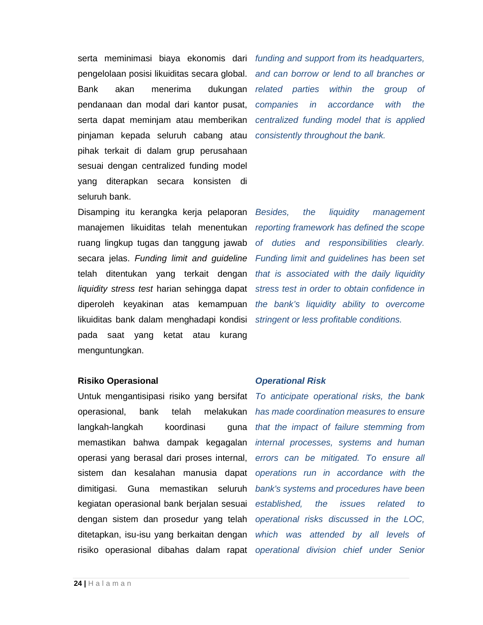serta meminimasi biaya ekonomis dari funding and support from its headquarters, pengelolaan posisi likuiditas secara global. Bank akan menerima dukungan pendanaan dan modal dari kantor pusat, serta dapat meminjam atau memberikan pinjaman kepada seluruh cabang atau pihak terkait di dalam grup perusahaan sesuai dengan centralized funding model yang diterapkan secara konsisten di seluruh bank.

Disamping itu kerangka kerja pelaporan manajemen likuiditas telah menentukan ruang lingkup tugas dan tanggung jawab secara jelas. Funding limit and guideline telah ditentukan yang terkait dengan liquidity stress test harian sehingga dapat diperoleh keyakinan atas kemampuan likuiditas bank dalam menghadapi kondisi pada saat yang ketat atau kurang menguntungkan.

**Risiko Operasional** 

Untuk mengantisipasi risiko yang bersifat operasional, bank telah melakukan langkah-langkah koordinasi guna memastikan bahwa dampak kegagalan operasi yang berasal dari proses internal, sistem dan kesalahan manusia dapat dimitigasi. Guna memastikan seluruh kegiatan operasional bank berjalan sesuai dengan sistem dan prosedur yang telah ditetapkan, isu-isu yang berkaitan dengan risiko operasional dibahas dalam rapat operational division chief under Senior

and can borrow or lend to all branches or related parties within the group of companies in accordance with the centralized funding model that is applied consistently throughout the bank.

Besides, the liquidity management reporting framework has defined the scope of duties and responsibilities clearly. Funding limit and guidelines has been set that is associated with the daily liquidity stress test in order to obtain confidence in the bank's liquidity ability to overcome stringent or less profitable conditions.

### **Operational Risk**

To anticipate operational risks, the bank has made coordination measures to ensure that the impact of failure stemming from internal processes, systems and human errors can be mitigated. To ensure all operations run in accordance with the bank's systems and procedures have been established, the issues related to operational risks discussed in the LOC, which was attended by all levels of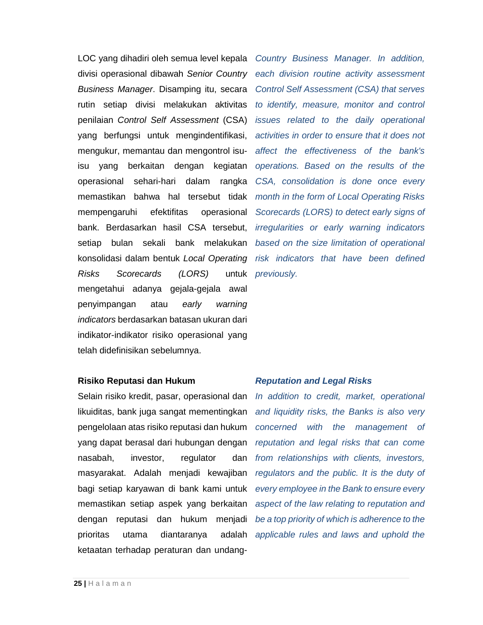LOC yang dihadiri oleh semua level kepala divisi operasional dibawah Senior Country Business Manager. Disamping itu, secara rutin setiap divisi melakukan aktivitas penilaian Control Self Assessment (CSA) yang berfungsi untuk mengindentifikasi, mengukur, memantau dan mengontrol isuisu yang berkaitan dengan kegiatan operasional sehari-hari dalam rangka memastikan bahwa hal tersebut tidak mempengaruhi efektifitas operasional bank. Berdasarkan hasil CSA tersebut, setiap bulan sekali bank melakukan konsolidasi dalam bentuk Local Operating Risks Scorecards (LORS) mengetahui adanya gejala-gejala awal penyimpangan atau early warning indicators berdasarkan batasan ukuran dari indikator-indikator risiko operasional yang telah didefinisikan sebelumnya.

Country Business Manager. In addition, each division routine activity assessment Control Self Assessment (CSA) that serves to identify, measure, monitor and control issues related to the daily operational activities in order to ensure that it does not affect the effectiveness of the bank's operations. Based on the results of the CSA, consolidation is done once every month in the form of Local Operating Risks Scorecards (LORS) to detect early signs of irregularities or early warning indicators based on the size limitation of operational risk indicators that have been defined untuk *previously*.

### **Risiko Reputasi dan Hukum**

Selain risiko kredit, pasar, operasional dan likuiditas, bank juga sangat mementingkan pengelolaan atas risiko reputasi dan hukum yang dapat berasal dari hubungan dengan nasabah, investor, regulator dan masyarakat. Adalah menjadi kewajiban bagi setiap karyawan di bank kami untuk memastikan setiap aspek yang berkaitan dengan reputasi dan hukum menjadi prioritas utama diantaranya adalah ketaatan terhadap peraturan dan undang-

### **Reputation and Legal Risks**

In addition to credit, market, operational and liquidity risks, the Banks is also very concerned with the management of reputation and legal risks that can come from relationships with clients, investors, regulators and the public. It is the duty of every employee in the Bank to ensure every aspect of the law relating to reputation and be a top priority of which is adherence to the applicable rules and laws and uphold the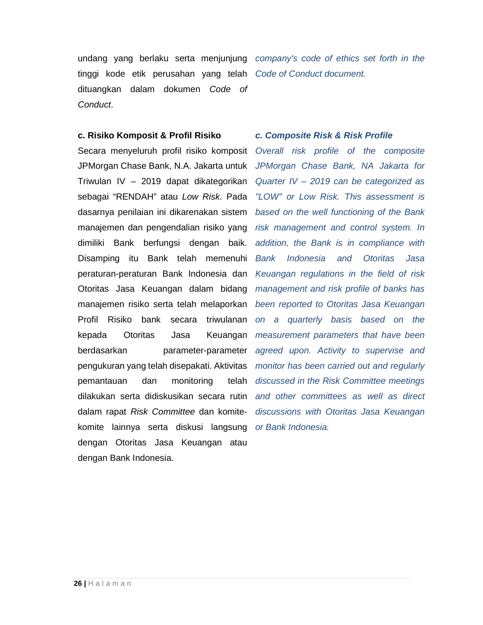tinggi kode etik perusahan yang telah Code of Conduct document. dituangkan dalam dokumen Code of Conduct.

### **c. Risiko Komposit & Profil Risiko**

Secara menyeluruh profil risiko komposit JPMorgan Chase Bank, N.A. Jakarta untuk Triwulan IV – 2019 dapat dikategorikan sebagai "RENDAH" atau Low Risk. Pada dasarnya penilaian ini dikarenakan sistem manajemen dan pengendalian risiko yang dimiliki Bank berfungsi dengan baik. Disamping itu Bank telah memenuhi peraturan-peraturan Bank Indonesia dan Otoritas Jasa Keuangan dalam bidang manajemen risiko serta telah melaporkan Profil Risiko bank secara triwulanan kepada Otoritas Jasa Keuangan berdasarkan parameter-parameter pengukuran yang telah disepakati. Aktivitas pemantauan dan monitoring telah dilakukan serta didiskusikan secara rutin dalam rapat Risk Committee dan komitekomite lainnya serta diskusi langsung or Bank Indonesia. dengan Otoritas Jasa Keuangan atau dengan Bank Indonesia.

undang yang berlaku serta menjunjung company's code of ethics set forth in the

### **c. Composite Risk & Risk Profile**

Overall risk profile of the composite JPMorgan Chase Bank, NA Jakarta for Quarter IV – 2019 can be categorized as "LOW" or Low Risk. This assessment is based on the well functioning of the Bank risk management and control system. In addition, the Bank is in compliance with Bank Indonesia and Otoritas Jasa Keuangan regulations in the field of risk management and risk profile of banks has been reported to Otoritas Jasa Keuangan on a quarterly basis based on the measurement parameters that have been agreed upon. Activity to supervise and monitor has been carried out and regularly discussed in the Risk Committee meetings and other committees as well as direct discussions with Otoritas Jasa Keuangan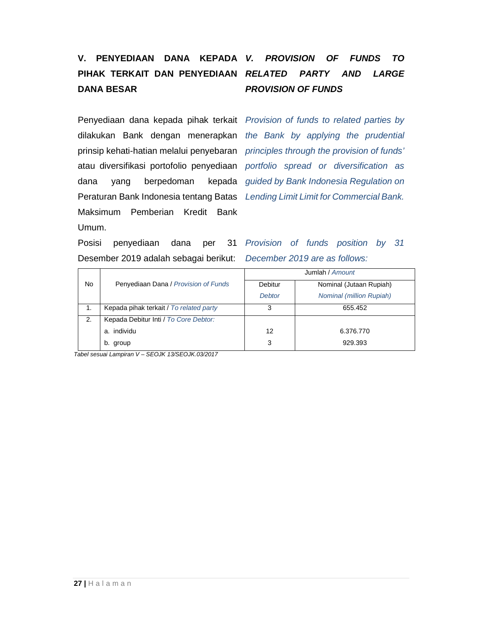## **V. PENYEDIAAN DANA KEPADA PIHAK TERKAIT DAN PENYEDIAAN RELATED PARTY AND LARGE DANA BESAR**

Penyediaan dana kepada pihak terkait Provision of funds to related parties by dilakukan Bank dengan menerapkan the Bank by applying the prudential prinsip kehati-hatian melalui penyebaran principles through the provision of funds' atau diversifikasi portofolio penyediaan portfolio spread or diversification as dana yang berpedoman Peraturan Bank Indonesia tentang Batas Lending Limit Limit for Commercial Bank. Maksimum Pemberian Kredit Bank Umum.

## **V. PROVISION OF FUNDS TO PROVISION OF FUNDS**

kepada guided by Bank Indonesia Regulation on

Posisi penyediaan dana per Desember 2019 adalah sebagai berikut: December 2019 are as follows:

31 Provision of funds position by 31

|           |                                         | Jumlah / Amount |                                 |  |  |
|-----------|-----------------------------------------|-----------------|---------------------------------|--|--|
| <b>No</b> | Penyediaan Dana / Provision of Funds    | Debitur         | Nominal (Jutaan Rupiah)         |  |  |
|           |                                         | <b>Debtor</b>   | <b>Nominal (million Rupiah)</b> |  |  |
|           | Kepada pihak terkait / To related party | 3               | 655.452                         |  |  |
| 2.        | Kepada Debitur Inti / To Core Debtor:   |                 |                                 |  |  |
|           | a. individu                             | 12              | 6.376.770                       |  |  |
|           | b. group                                | 3               | 929.393                         |  |  |

Tabel sesuai Lampiran V – SEOJK 13/SEOJK.03/2017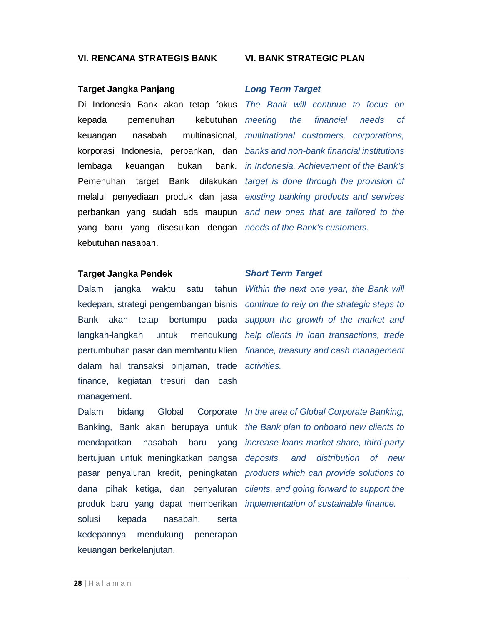### **VI. RENCANA STRATEGIS BANK**

### **Target Jangka Panjang**

Di Indonesia Bank akan tetap fokus The Bank will continue to focus on kepada pemenuhan kebutuhan meeting keuangan nasabah multinasional, multinational customers, corporations, korporasi Indonesia, perbankan, dan banks and non-bank financial institutions lembaga keuangan bukan Pemenuhan target Bank dilakukan target is done through the provision of melalui penyediaan produk dan jasa existing banking products and services perbankan yang sudah ada maupun and new ones that are tailored to the yang baru yang disesuikan dengan needs of the Bank's customers. kebutuhan nasabah.

### **Target Jangka Pendek**

Dalam jangka waktu satu tahun Within the next one year, the Bank will kedepan, strategi pengembangan bisnis continue to rely on the strategic steps to Bank akan tetap bertumpu pada support the growth of the market and langkah-langkah untuk pertumbuhan pasar dan membantu klien finance, treasury and cash management dalam hal transaksi pinjaman, trade activities. finance, kegiatan tresuri dan cash management.

Banking, Bank akan berupaya untuk the Bank plan to onboard new clients to mendapatkan nasabah baru bertujuan untuk meningkatkan pangsa deposits, and distribution of new pasar penyaluran kredit, peningkatan products which can provide solutions to dana pihak ketiga, dan penyaluran clients, and going forward to support the produk baru yang dapat memberikan *implementation* of sustainable finance. solusi kepada nasabah, serta kedepannya mendukung penerapan keuangan berkelanjutan.

### **VI. BANK STRATEGIC PLAN**

### **Long Term Target**

the financial needs of bank. *in Indonesia. Achievement of the Bank's* 

### **Short Term Target**

mendukung help clients in loan transactions, trade

Dalam bidang Global Corporate In the area of Global Corporate Banking, yang increase loans market share, third-party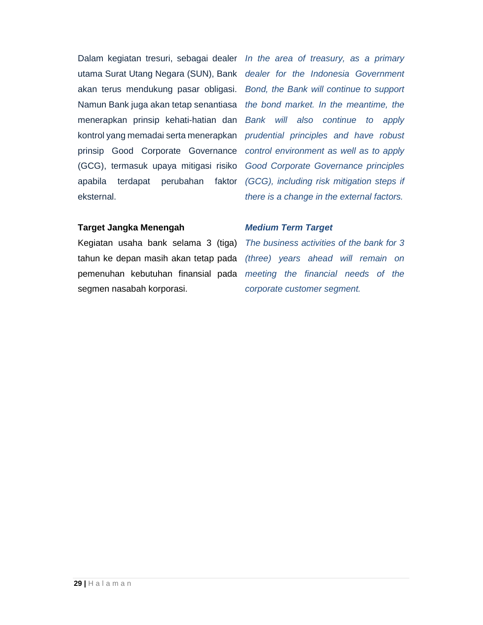Dalam kegiatan tresuri, sebagai dealer In the area of treasury, as a primary utama Surat Utang Negara (SUN), Bank dealer for the Indonesia Government akan terus mendukung pasar obligasi. Bond, the Bank will continue to support Namun Bank juga akan tetap senantiasa the bond market. In the meantime, the menerapkan prinsip kehati-hatian dan kontrol yang memadai serta menerapkan prudential principles and have robust prinsip Good Corporate Governance control environment as well as to apply (GCG), termasuk upaya mitigasi risiko Good Corporate Governance principles apabila terdapat perubahan faktor (GCG), including risk mitigation steps if eksternal.

Bank will also continue to apply there is a change in the external factors.

### **Target Jangka Menengah**

Kegiatan usaha bank selama 3 (tiga) segmen nasabah korporasi.

### **Medium Term Target**

tahun ke depan masih akan tetap pada (three) years ahead will remain on pemenuhan kebutuhan finansial pada meeting the financial needs of the The business activities of the bank for 3 corporate customer segment.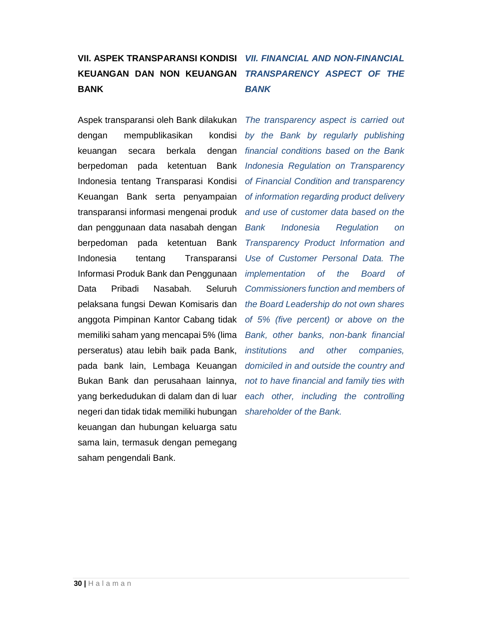## **VII. ASPEK TRANSPARANSI KONDISI VII. FINANCIAL AND NON-FINANCIAL KEUANGAN DAN NON KEUANGAN BANK**

Aspek transparansi oleh Bank dilakukan dengan mempublikasikan kondisi keuangan secara berkala dengan berpedoman pada ketentuan Bank Indonesia tentang Transparasi Kondisi Keuangan Bank serta penyampaian transparansi informasi mengenai produk dan penggunaan data nasabah dengan berpedoman pada ketentuan Bank Indonesia tentang Transparansi Informasi Produk Bank dan Penggunaan Data Pribadi Nasabah. Seluruh pelaksana fungsi Dewan Komisaris dan the Board Leadership do not own shares anggota Pimpinan Kantor Cabang tidak memiliki saham yang mencapai 5% (lima perseratus) atau lebih baik pada Bank, pada bank lain, Lembaga Keuangan Bukan Bank dan perusahaan lainnya, yang berkedudukan di dalam dan di luar negeri dan tidak tidak memiliki hubungan shareholder of the Bank. keuangan dan hubungan keluarga satu sama lain, termasuk dengan pemegang saham pengendali Bank.

## **TRANSPARENCY ASPECT OF THE BANK**

The transparency aspect is carried out by the Bank by regularly publishing financial conditions based on the Bank Indonesia Regulation on Transparency of Financial Condition and transparency of information regarding product delivery and use of customer data based on the Bank Indonesia Regulation on Transparency Product Information and Use of Customer Personal Data. The implementation of the Board of Commissioners function and members of of 5% (five percent) or above on the Bank, other banks, non-bank financial institutions and other companies, domiciled in and outside the country and not to have financial and family ties with each other, including the controlling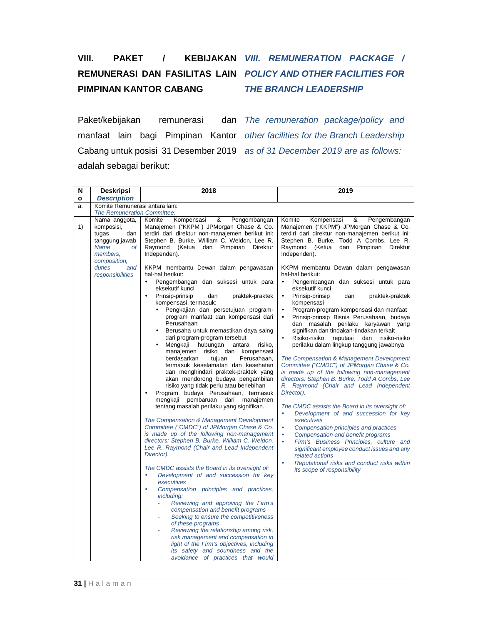## **VIII.** PAKET / **PIMPINAN KANTOR CABANG**

## **REMUNERASI DAN FASILITAS LAIN POLICY AND OTHER FACILITIES FOR KEBIJAKAN VIII. REMUNERATION PACKAGE / THE BRANCH LEADERSHIP**

Paket/kebijakan remunerasi Cabang untuk posisi 31 Desember 2019 as of 31 December 2019 are as follows: adalah sebagai berikut:

manfaat lain bagi Pimpinan Kantor other facilities for the Branch Leadership dan The remuneration package/policy and

| N            | <b>Deskripsi</b>                                                                                               | 2018                                                                                                                                                                                                                                                                                                                                                                                                                                                                                                                                                                                                                                                                                                                                                                                                                                                                                                                                                                                                                                                                                                                                                                                                                                                                                                                                                                                                                                                                                                                                                        | 2019                                                                                                                                                                                                                                                                                                                                                                                                                                                                                                                                                                                                                                                                                                                                                                                                                                                                                                                                                                                                                                                                                                                                                                                                               |  |  |  |  |
|--------------|----------------------------------------------------------------------------------------------------------------|-------------------------------------------------------------------------------------------------------------------------------------------------------------------------------------------------------------------------------------------------------------------------------------------------------------------------------------------------------------------------------------------------------------------------------------------------------------------------------------------------------------------------------------------------------------------------------------------------------------------------------------------------------------------------------------------------------------------------------------------------------------------------------------------------------------------------------------------------------------------------------------------------------------------------------------------------------------------------------------------------------------------------------------------------------------------------------------------------------------------------------------------------------------------------------------------------------------------------------------------------------------------------------------------------------------------------------------------------------------------------------------------------------------------------------------------------------------------------------------------------------------------------------------------------------------|--------------------------------------------------------------------------------------------------------------------------------------------------------------------------------------------------------------------------------------------------------------------------------------------------------------------------------------------------------------------------------------------------------------------------------------------------------------------------------------------------------------------------------------------------------------------------------------------------------------------------------------------------------------------------------------------------------------------------------------------------------------------------------------------------------------------------------------------------------------------------------------------------------------------------------------------------------------------------------------------------------------------------------------------------------------------------------------------------------------------------------------------------------------------------------------------------------------------|--|--|--|--|
| $\mathbf{o}$ | <b>Description</b>                                                                                             |                                                                                                                                                                                                                                                                                                                                                                                                                                                                                                                                                                                                                                                                                                                                                                                                                                                                                                                                                                                                                                                                                                                                                                                                                                                                                                                                                                                                                                                                                                                                                             |                                                                                                                                                                                                                                                                                                                                                                                                                                                                                                                                                                                                                                                                                                                                                                                                                                                                                                                                                                                                                                                                                                                                                                                                                    |  |  |  |  |
| a.           | Komite Remunerasi antara lain:                                                                                 |                                                                                                                                                                                                                                                                                                                                                                                                                                                                                                                                                                                                                                                                                                                                                                                                                                                                                                                                                                                                                                                                                                                                                                                                                                                                                                                                                                                                                                                                                                                                                             |                                                                                                                                                                                                                                                                                                                                                                                                                                                                                                                                                                                                                                                                                                                                                                                                                                                                                                                                                                                                                                                                                                                                                                                                                    |  |  |  |  |
|              | <b>The Remuneration Committee:</b>                                                                             |                                                                                                                                                                                                                                                                                                                                                                                                                                                                                                                                                                                                                                                                                                                                                                                                                                                                                                                                                                                                                                                                                                                                                                                                                                                                                                                                                                                                                                                                                                                                                             |                                                                                                                                                                                                                                                                                                                                                                                                                                                                                                                                                                                                                                                                                                                                                                                                                                                                                                                                                                                                                                                                                                                                                                                                                    |  |  |  |  |
| 1)           | Nama anggota,<br>komposisi,<br>tugas<br>dan<br>tanggung jawab<br><b>Name</b><br>оf<br>members.<br>composition, | &<br>Kompensasi<br>Pengembangan<br>Komite<br>Manajemen ("KKPM") JPMorgan Chase & Co.<br>terdiri dari direktur non-manajemen berikut ini:<br>Stephen B. Burke, William C. Weldon, Lee R.<br>Raymond (Ketua<br>dan<br>Pimpinan<br><b>Direktur</b><br>Independen).                                                                                                                                                                                                                                                                                                                                                                                                                                                                                                                                                                                                                                                                                                                                                                                                                                                                                                                                                                                                                                                                                                                                                                                                                                                                                             | Komite<br>Kompensasi<br>&<br>Pengembangan<br>Manajemen ("KKPM") JPMorgan Chase & Co.<br>terdiri dari direktur non-manajemen berikut ini:<br>Stephen B. Burke, Todd A Combs, Lee R.<br>Raymond (Ketua dan Pimpinan Direktur<br>Independen).                                                                                                                                                                                                                                                                                                                                                                                                                                                                                                                                                                                                                                                                                                                                                                                                                                                                                                                                                                         |  |  |  |  |
|              | duties<br>and<br>responsibilities                                                                              | KKPM membantu Dewan dalam pengawasan<br>hal-hal berikut:<br>Pengembangan dan suksesi untuk para<br>eksekutif kunci<br>Prinsip-prinsip<br>dan<br>praktek-praktek<br>$\bullet$<br>kompensasi, termasuk:<br>Pengkajian dan persetujuan program-<br>$\bullet$<br>program manfaat dan kompensasi dari<br>Perusahaan<br>Berusaha untuk memastikan daya saing<br>$\bullet$<br>dari program-program tersebut<br>Mengkaji hubungan<br>antara<br>risiko,<br>$\bullet$<br>manajemen risiko dan kompensasi<br>berdasarkan<br>Perusahaan.<br>tujuan<br>termasuk keselamatan dan kesehatan<br>dan menghindari praktek-praktek yang<br>akan mendorong budaya pengambilan<br>risiko yang tidak perlu atau berlebihan<br>Program budaya Perusahaan, termasuk<br>mengkaji<br>pembaruan dari manajemen<br>tentang masalah perilaku yang signifikan.<br>The Compensation & Management Development<br>Committee ("CMDC") of JPMorgan Chase & Co.<br>is made up of the following non-management<br>directors: Stephen B. Burke, William C. Weldon,<br>Lee R. Raymond (Chair and Lead Independent<br>Director).<br>The CMDC assists the Board in its oversight of:<br>Development of and succession for key<br>$\bullet$<br>executives<br>Compensation principles and practices,<br>$\bullet$<br>including:<br>Reviewing and approving the Firm's<br>compensation and benefit programs<br>Seeking to ensure the competitiveness<br>of these programs<br>Reviewing the relationship among risk,<br>risk management and compensation in<br>light of the Firm's objectives, including | KKPM membantu Dewan dalam pengawasan<br>hal-hal berikut:<br>Pengembangan dan suksesi untuk para<br>$\bullet$<br>eksekutif kunci<br>Prinsip-prinsip<br>$\bullet$<br>dan<br>praktek-praktek<br>kompensasi<br>$\bullet$<br>Program-program kompensasi dan manfaat<br>Prinsip-prinsip Bisnis Perusahaan, budaya<br>$\bullet$<br>dan masalah perilaku karyawan yang<br>signifikan dan tindakan-tindakan terkait<br>$\bullet$<br>Risiko-risiko<br>reputasi<br>dan<br>risiko-risiko<br>perilaku dalam lingkup tanggung jawabnya<br>The Compensation & Management Development<br>Committee ("CMDC") of JPMorgan Chase & Co.<br>is made up of the following non-management<br>directors: Stephen B. Burke, Todd A Combs, Lee<br>R. Raymond (Chair and Lead Independent<br>Director).<br>The CMDC assists the Board in its oversight of:<br>Development of and succession for key<br>executives<br>$\bullet$<br>Compensation principles and practices<br>$\bullet$<br>Compensation and benefit programs<br>$\bullet$<br>Firm's Business Principles, culture and<br>significant employee conduct issues and any<br>related actions<br>Reputational risks and conduct risks within<br>$\bullet$<br>its scope of responsibility |  |  |  |  |
|              |                                                                                                                | its safety and soundness and the<br>avoidance of practices that would                                                                                                                                                                                                                                                                                                                                                                                                                                                                                                                                                                                                                                                                                                                                                                                                                                                                                                                                                                                                                                                                                                                                                                                                                                                                                                                                                                                                                                                                                       |                                                                                                                                                                                                                                                                                                                                                                                                                                                                                                                                                                                                                                                                                                                                                                                                                                                                                                                                                                                                                                                                                                                                                                                                                    |  |  |  |  |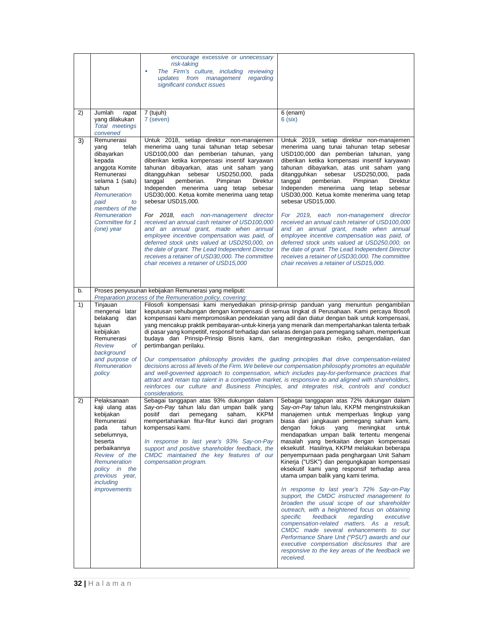|    |                                                                                                                                                                                                                              | encourage excessive or unnecessary<br>risk-taking<br>The Firm's culture, including reviewing<br>updates from management<br>regarding<br>significant conduct issues                                                                                                                                                                                                                                                                                                                                                                                                                                                                                                                                                                                                                                                                  |                                                                                                                                                                                                                                                                                                                                                                                                                                                                                                                                                                                                                                                                                                                                                                                                                                                                                                                                                                                                                                                                  |
|----|------------------------------------------------------------------------------------------------------------------------------------------------------------------------------------------------------------------------------|-------------------------------------------------------------------------------------------------------------------------------------------------------------------------------------------------------------------------------------------------------------------------------------------------------------------------------------------------------------------------------------------------------------------------------------------------------------------------------------------------------------------------------------------------------------------------------------------------------------------------------------------------------------------------------------------------------------------------------------------------------------------------------------------------------------------------------------|------------------------------------------------------------------------------------------------------------------------------------------------------------------------------------------------------------------------------------------------------------------------------------------------------------------------------------------------------------------------------------------------------------------------------------------------------------------------------------------------------------------------------------------------------------------------------------------------------------------------------------------------------------------------------------------------------------------------------------------------------------------------------------------------------------------------------------------------------------------------------------------------------------------------------------------------------------------------------------------------------------------------------------------------------------------|
| 2) | Jumlah<br>rapat<br>yang dilakukan<br>Total meetings<br>convened                                                                                                                                                              | 7 (tujuh)<br>7 (seven)                                                                                                                                                                                                                                                                                                                                                                                                                                                                                                                                                                                                                                                                                                                                                                                                              | 6 (enam)<br>$6$ (six)                                                                                                                                                                                                                                                                                                                                                                                                                                                                                                                                                                                                                                                                                                                                                                                                                                                                                                                                                                                                                                            |
| 3) | Remunerasi<br>telah<br>yang<br>dibayarkan<br>kepada<br>anggota Komite<br>Remunerasi<br>selama 1 (satu)<br>tahun<br>Remuneration<br>paid<br>to<br>members of the<br><b>Remuneration</b><br>Committee for 1<br>(one) year      | Untuk 2018, setiap direktur non-manajemen<br>menerima uang tunai tahunan tetap sebesar<br>USD100,000 dan pemberian tahunan, yang<br>diberikan ketika kompensasi insentif karyawan<br>tahunan dibayarkan, atas unit saham yang<br>ditangguhkan sebesar USD250,000,<br>pada<br>pemberian.<br>Pimpinan<br>Direktur<br>tanggal<br>Independen menerima uang tetap sebesar<br>USD30,000. Ketua komite menerima uang tetap<br>sebesar USD15,000.<br>For 2018.<br>each non-management director<br>received an annual cash retainer of USD100,000<br>and an annual grant, made when annual<br>employee incentive compensation was paid, of<br>deferred stock units valued at USD250,000, on<br>the date of grant. The Lead Independent Director<br>receives a retainer of USD30,000. The committee<br>chair receives a retainer of USD15,000 | Untuk 2019, setiap direktur non-manajemen<br>menerima uang tunai tahunan tetap sebesar<br>USD100,000 dan pemberian tahunan, yang<br>diberikan ketika kompensasi insentif karyawan<br>tahunan dibayarkan, atas unit saham yang<br>ditangguhkan sebesar USD250,000,<br>pada<br>Pimpinan<br>Direktur<br>tanggal<br>pemberian.<br>Independen menerima uang tetap sebesar<br>USD30,000. Ketua komite menerima uang tetap<br>sebesar USD15,000.<br>For 2019, each non-management director<br>received an annual cash retainer of USD100,000<br>and an annual grant, made when annual<br>employee incentive compensation was paid, of<br>deferred stock units valued at USD250,000, on<br>the date of grant. The Lead Independent Director<br>receives a retainer of USD30,000. The committee<br>chair receives a retainer of USD15,000.                                                                                                                                                                                                                                |
| b. |                                                                                                                                                                                                                              | Proses penyusunan kebijakan Remunerasi yang meliputi:                                                                                                                                                                                                                                                                                                                                                                                                                                                                                                                                                                                                                                                                                                                                                                               |                                                                                                                                                                                                                                                                                                                                                                                                                                                                                                                                                                                                                                                                                                                                                                                                                                                                                                                                                                                                                                                                  |
| 1) | Tinjauan<br>mengenai latar<br>belakang<br>dan<br>tujuan<br>kebijakan<br>Remunerasi<br><b>of</b><br>Review<br>background<br>and purpose of<br>Remuneration<br>policy                                                          | Preparation process of the Remuneration policy, covering:<br>pertimbangan perilaku.                                                                                                                                                                                                                                                                                                                                                                                                                                                                                                                                                                                                                                                                                                                                                 | Filosofi kompensasi kami menyediakan prinsip-prinsip panduan yang menuntun pengambilan<br>keputusan sehubungan dengan kompensasi di semua tingkat di Perusahaan. Kami percaya filosofi<br>kompensasi kami mempromosikan pendekatan yang adil dan diatur dengan baik untuk kompensasi,<br>yang mencakup praktik pembayaran-untuk-kinerja yang menarik dan mempertahankan talenta terbaik<br>di pasar yang kompetitif, responsif terhadap dan selaras dengan para pemegang saham, memperkuat<br>budaya dan Prinsip-Prinsip Bisnis kami, dan mengintegrasikan risiko, pengendalian, dan<br>Our compensation philosophy provides the guiding principles that drive compensation-related<br>decisions across all levels of the Firm. We believe our compensation philosophy promotes an equitable<br>and well-governed approach to compensation, which includes pay-for-performance practices that                                                                                                                                                                    |
|    |                                                                                                                                                                                                                              | considerations.                                                                                                                                                                                                                                                                                                                                                                                                                                                                                                                                                                                                                                                                                                                                                                                                                     | attract and retain top talent in a competitive market, is responsive to and aligned with shareholders,<br>reinforces our culture and Business Principles, and integrates risk, controls and conduct                                                                                                                                                                                                                                                                                                                                                                                                                                                                                                                                                                                                                                                                                                                                                                                                                                                              |
| 2) | Pelaksanaan<br>kaji ulang atas<br>kebijakan<br>Remunerasi<br>pada<br>tahun<br>sebelumnya,<br>beserta<br>perbaikannya<br>Review of the<br>Remuneration<br>policy in the<br>previous year,<br>including<br><i>improvements</i> | Sebagai tanggapan atas 93% dukungan dalam<br>Say-on-Pay tahun lalu dan umpan balik yang<br>saham,<br>KKPM<br>positif<br>dari<br>pemegang<br>mempertahankan fitur-fitur kunci dari program<br>kompensasi kami.<br>In response to last year's 93% Say-on-Pay<br>support and positive shareholder feedback, the<br>CMDC maintained the key features of our<br>compensation program.                                                                                                                                                                                                                                                                                                                                                                                                                                                    | Sebagai tanggapan atas 72% dukungan dalam<br>Say-on-Pay tahun lalu, KKPM menginstruksikan<br>manajemen untuk memperluas lingkup yang<br>biasa dari jangkauan pemegang saham kami,<br>dengan<br>fokus<br>yang<br>meningkat<br>untuk<br>mendapatkan umpan balik tertentu mengenai<br>masalah yang berkaitan dengan kompensasi<br>eksekutif. Hasilnya, KKPM melakukan beberapa<br>penyempurnaan pada penghargaan Unit Saham<br>Kinerja ("USK") dan pengungkapan kompensasi<br>eksekutif kami yang responsif terhadap area<br>utama umpan balik yang kami terima.<br>In response to last year's 72% Say-on-Pay<br>support, the CMDC instructed management to<br>broaden the usual scope of our shareholder<br>outreach, with a heightened focus on obtaining<br>feedback<br>specific<br>regarding<br>executive<br>compensation-related matters. As a result,<br>CMDC made several enhancements to our<br>Performance Share Unit ("PSU") awards and our<br>executive compensation disclosures that are<br>responsive to the key areas of the feedback we<br>received. |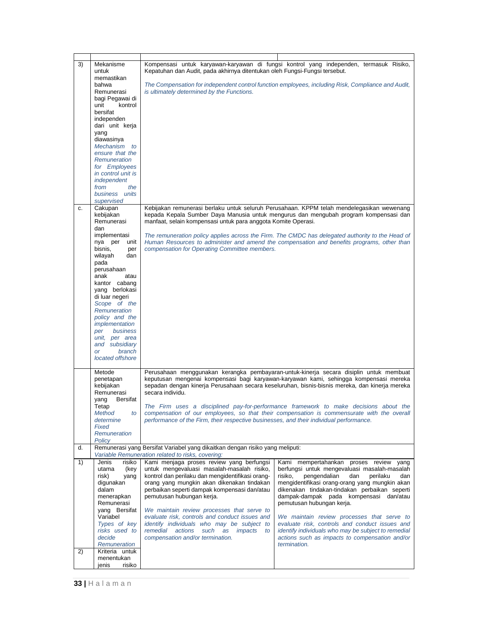| 3) | Mekanisme<br>untuk<br>memastikan                    | Kepatuhan dan Audit, pada akhirnya ditentukan oleh Fungsi-Fungsi tersebut.                                                         | Kompensasi untuk karyawan-karyawan di fungsi kontrol yang independen, termasuk Risiko,                                                                                                                                                                                            |
|----|-----------------------------------------------------|------------------------------------------------------------------------------------------------------------------------------------|-----------------------------------------------------------------------------------------------------------------------------------------------------------------------------------------------------------------------------------------------------------------------------------|
|    | bahwa<br>Remunerasi                                 | is ultimately determined by the Functions.                                                                                         | The Compensation for independent control function employees, including Risk, Compliance and Audit,                                                                                                                                                                                |
|    | bagi Pegawai di<br>unit<br>kontrol                  |                                                                                                                                    |                                                                                                                                                                                                                                                                                   |
|    | bersifat<br>independen                              |                                                                                                                                    |                                                                                                                                                                                                                                                                                   |
|    | dari unit kerja<br>yang                             |                                                                                                                                    |                                                                                                                                                                                                                                                                                   |
|    | diawasinya<br>Mechanism to<br>ensure that the       |                                                                                                                                    |                                                                                                                                                                                                                                                                                   |
|    | Remuneration<br>for Employees                       |                                                                                                                                    |                                                                                                                                                                                                                                                                                   |
|    | in control unit is<br>independent                   |                                                                                                                                    |                                                                                                                                                                                                                                                                                   |
|    | the<br>from<br>business units                       |                                                                                                                                    |                                                                                                                                                                                                                                                                                   |
| c. | supervised<br>Cakupan                               |                                                                                                                                    | Kebijakan remunerasi berlaku untuk seluruh Perusahaan. KPPM telah mendelegasikan wewenang                                                                                                                                                                                         |
|    | kebijakan<br>Remunerasi<br>dan                      | manfaat, selain kompensasi untuk para anggota Komite Operasi.                                                                      | kepada Kepala Sumber Daya Manusia untuk mengurus dan mengubah program kompensasi dan                                                                                                                                                                                              |
|    | implementasi<br>nya per<br>unit                     |                                                                                                                                    | The remuneration policy applies across the Firm. The CMDC has delegated authority to the Head of<br>Human Resources to administer and amend the compensation and benefits programs, other than                                                                                    |
|    | bisnis,<br>per<br>wilayah<br>dan                    | compensation for Operating Committee members.                                                                                      |                                                                                                                                                                                                                                                                                   |
|    | pada<br>perusahaan<br>anak<br>atau                  |                                                                                                                                    |                                                                                                                                                                                                                                                                                   |
|    | kantor cabang<br>yang berlokasi                     |                                                                                                                                    |                                                                                                                                                                                                                                                                                   |
|    | di luar negeri<br>Scope of the                      |                                                                                                                                    |                                                                                                                                                                                                                                                                                   |
|    | Remuneration<br>policy and the                      |                                                                                                                                    |                                                                                                                                                                                                                                                                                   |
|    | implementation<br>business<br>per<br>unit, per area |                                                                                                                                    |                                                                                                                                                                                                                                                                                   |
|    | and subsidiary<br>branch<br><b>or</b>               |                                                                                                                                    |                                                                                                                                                                                                                                                                                   |
|    | located offshore                                    |                                                                                                                                    |                                                                                                                                                                                                                                                                                   |
|    | Metode<br>penetapan<br>kebijakan<br>Remunerasi      | secara individu.                                                                                                                   | Perusahaan menggunakan kerangka pembayaran-untuk-kinerja secara disiplin untuk membuat<br>keputusan mengenai kompensasi bagi karyawan-karyawan kami, sehingga kompensasi mereka<br>sepadan dengan kinerja Perusahaan secara keseluruhan, bisnis-bisnis mereka, dan kinerja mereka |
|    | <b>Bersifat</b><br>yang<br>Tetap                    |                                                                                                                                    | The Firm uses a disciplined pay-for-performance framework to make decisions about the<br>compensation of our employees, so that their compensation is commensurate with the overall                                                                                               |
|    | Method<br>to<br>determine<br>Fixed                  | performance of the Firm, their respective businesses, and their individual performance.                                            |                                                                                                                                                                                                                                                                                   |
|    | Remuneration<br>Policy                              |                                                                                                                                    |                                                                                                                                                                                                                                                                                   |
| d. |                                                     | Remunerasi yang Bersifat Variabel yang dikaitkan dengan risiko yang meliputi:<br>Variable Remuneration related to risks, covering: |                                                                                                                                                                                                                                                                                   |
| 1) | Jenis<br>risiko<br>utama<br>(key                    | Kami menjaga proses review yang berfungsi<br>untuk mengevaluasi masalah-masalah risiko,                                            | Kami mempertahankan proses review<br>yang<br>berfungsi untuk mengevaluasi masalah-masalah                                                                                                                                                                                         |
|    | risk)<br>yang<br>digunakan                          | kontrol dan perilaku dan mengidentifikasi orang-<br>orang yang mungkin akan dikenakan tindakan                                     | pengendalian<br>dan<br>perilaku<br>risiko,<br>dan<br>mengidentifikasi orang-orang yang mungkin akan                                                                                                                                                                               |
|    | dalam<br>menerapkan                                 | perbaikan seperti dampak kompensasi dan/atau<br>pemutusan hubungan kerja.                                                          | dikenakan tindakan-tindakan perbaikan seperti<br>dampak-dampak pada kompensasi dan/atau                                                                                                                                                                                           |
|    | Remunerasi<br>yang Bersifat                         | We maintain review processes that serve to                                                                                         | pemutusan hubungan kerja.                                                                                                                                                                                                                                                         |
|    | Variabel<br>Types of key                            | evaluate risk, controls and conduct issues and<br>identify individuals who may be subject to                                       | We maintain review processes that serve to<br>evaluate risk, controls and conduct issues and                                                                                                                                                                                      |
|    | risks used to<br>decide<br>Remuneration             | actions<br>remedial<br>such<br>as<br>impacts<br>to<br>compensation and/or termination.                                             | identify individuals who may be subject to remedial<br>actions such as impacts to compensation and/or<br>termination.                                                                                                                                                             |
| 2) | Kriteria untuk<br>menentukan                        |                                                                                                                                    |                                                                                                                                                                                                                                                                                   |
|    | risiko<br>jenis                                     |                                                                                                                                    |                                                                                                                                                                                                                                                                                   |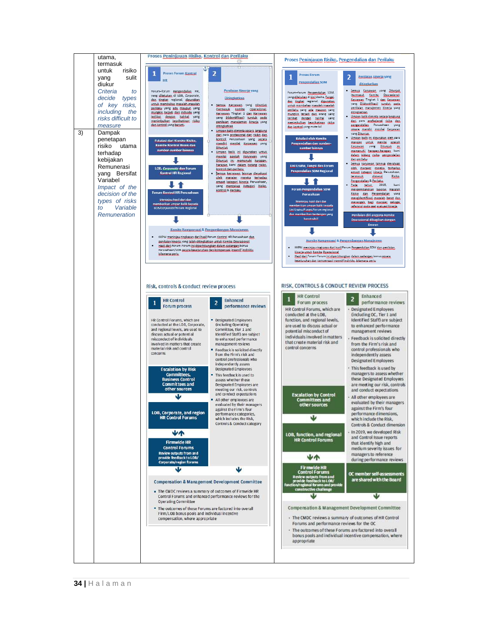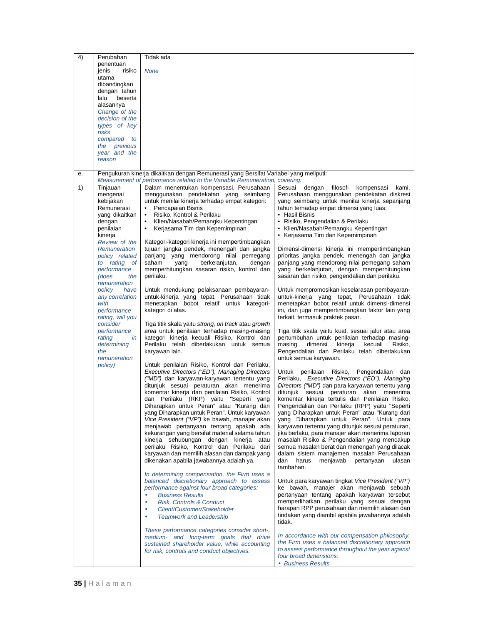| 4) | Perubahan                    | Tidak ada                                                                             |                                                                                                    |
|----|------------------------------|---------------------------------------------------------------------------------------|----------------------------------------------------------------------------------------------------|
|    | penentuan<br>risiko<br>jenis | <b>None</b>                                                                           |                                                                                                    |
|    | utama                        |                                                                                       |                                                                                                    |
|    | dibandingkan                 |                                                                                       |                                                                                                    |
|    | dengan tahun                 |                                                                                       |                                                                                                    |
|    | beserta<br>lalu              |                                                                                       |                                                                                                    |
|    | alasannya                    |                                                                                       |                                                                                                    |
|    | Change of the                |                                                                                       |                                                                                                    |
|    | decision of the              |                                                                                       |                                                                                                    |
|    | types of key                 |                                                                                       |                                                                                                    |
|    | risks                        |                                                                                       |                                                                                                    |
|    | compared to                  |                                                                                       |                                                                                                    |
|    | the previous                 |                                                                                       |                                                                                                    |
|    | year and the                 |                                                                                       |                                                                                                    |
|    | reason                       |                                                                                       |                                                                                                    |
| е. |                              | Pengukuran kinerja dikaitkan dengan Remunerasi yang Bersifat Variabel yang meliputi:  |                                                                                                    |
|    |                              | Measurement of performance related to the Variable Remuneration, covering:            |                                                                                                    |
| 1) | Tinjauan                     | Dalam menentukan kompensasi, Perusahaan                                               | Sesuai<br>dengan<br>filosofi<br>kompensasi<br>kami,                                                |
|    | mengenai                     | menggunakan pendekatan yang seimbang                                                  | Perusahaan menggunakan pendekatan diskresi                                                         |
|    | kebijakan                    | untuk menilai kinerja terhadap empat kategori:                                        | yang seimbang untuk menilai kinerja sepanjang                                                      |
|    | Remunerasi                   | Pencapaian Bisnis<br>$\bullet$                                                        | tahun terhadap empat dimensi yang luas:                                                            |
|    | yang dikaitkan               | Risiko, Kontrol & Perilaku<br>٠                                                       | • Hasil Bisnis                                                                                     |
|    | dengan                       | Klien/Nasabah/Pemangku Kepentingan<br>$\bullet$                                       | • Risiko, Pengendalian & Perilaku                                                                  |
|    | penilaian                    | Kerjasama Tim dan Kepemimpinan<br>$\bullet$                                           | • Klien/Nasabah/Pemangku Kepentingan                                                               |
|    | kinerja                      |                                                                                       | • Kerjasama Tim dan Kepemimpinan                                                                   |
|    | Review of the                | Kategori-kategori kinerja ini mempertimbangkan                                        |                                                                                                    |
|    | Remuneration                 | tujuan jangka pendek, menengah dan jangka                                             | Dimensi-dimensi kinerja ini mempertimbangkan                                                       |
|    | policy related               | panjang yang mendorong nilai pemegang<br>saham<br>berkelanjutan,<br>yang<br>dengan    | prioritas jangka pendek, menengah dan jangka<br>panjang yang mendorong nilai pemegang saham        |
|    | to rating of<br>performance  | memperhitungkan sasaran risiko, kontrol dan                                           | yang berkelanjutan, dengan memperhitungkan                                                         |
|    | (does<br>the                 | perilaku.                                                                             | sasaran dari risiko, pengendalian dan perilaku.                                                    |
|    | remuneration                 |                                                                                       |                                                                                                    |
|    | have<br>policy               | Untuk mendukung pelaksanaan pembayaran-                                               | Untuk mempromosikan keselarasan pembayaran-                                                        |
|    | any correlation              | untuk-kinerja yang tepat, Perusahaan tidak                                            | untuk-kinerja yang tepat, Perusahaan tidak                                                         |
|    | with                         | menetapkan bobot relatif untuk kategori-                                              | menetapkan bobot relatif untuk dimensi-dimensi                                                     |
|    | performance                  | kategori di atas.                                                                     | ini, dan juga mempertimbangkan faktor lain yang                                                    |
|    | rating, will you             |                                                                                       | terkait, termasuk praktek pasar.                                                                   |
|    | consider                     | Tiga titik skala yaitu strong, on track atau growth                                   |                                                                                                    |
|    | performance                  | area untuk penilaian terhadap masing-masing                                           | Tiga titik skala yaitu kuat, sesuai jalur atau area                                                |
|    | rating<br>in                 | kategori kinerja kecuali Risiko, Kontrol dan                                          | pertumbuhan untuk penilaian terhadap masing-                                                       |
|    | determining                  | Perilaku telah diberlakukan untuk semua                                               | dimensi<br>kinerja<br>masing<br>kecuali<br>Risiko,                                                 |
|    | the                          | karyawan lain.                                                                        | Pengendalian dan Perilaku telah diberlakukan                                                       |
|    | remuneration                 |                                                                                       | untuk semua karyawan.                                                                              |
|    | policy)                      | Untuk penilaian Risiko, Kontrol dan Perilaku,                                         |                                                                                                    |
|    |                              | Executive Directors ("ED"), Managing Directors                                        | Untuk penilaian<br>Risiko, Pengendalian dan                                                        |
|    |                              | ("MD") dan karyawan-karyawan tertentu yang<br>ditunjuk sesuai peraturan akan menerima | Perilaku, Executive Directors ("ED"), Managing<br>Directors ("MD") dan para karyawan tertentu yang |
|    |                              | komentar kinerja dan penilaian Risiko, Kontrol                                        | ditunjuk sesuai peraturan akan menerima                                                            |
|    |                              | dan Perilaku (RKP) yaitu "Seperti yang                                                | komentar kinerja tertulis dan Penilaian Risiko,                                                    |
|    |                              | Diharapkan untuk Peran" atau "Kurang dari                                             | Pengendalian dan Perilaku (RPP) yaitu "Seperti                                                     |
|    |                              | yang Diharapkan untuk Peran". Untuk karyawan                                          | yang Diharapkan untuk Peran" atau "Kurang dari                                                     |
|    |                              | Vice President ("VP") ke bawah, manajer akan                                          | yang Diharapkan untuk Peran". Untuk para                                                           |
|    |                              | menjawab pertanyaan tentang apakah ada                                                | karyawan tertentu yang ditunjuk sesuai peraturan,                                                  |
|    |                              | kekurangan yang bersifat material selama tahun                                        | jika berlaku, para manajer akan menerima laporan                                                   |
|    |                              | kinerja sehubungan dengan kinerja atau                                                | masalah Risiko & Pengendalian yang mencakup                                                        |
|    |                              | perilaku Risiko, Kontrol dan Perilaku dari                                            | semua masalah berat dan menengah yang dilacak                                                      |
|    |                              | karyawan dan memilih alasan dan dampak yang                                           | dalam sistem manajemen masalah Perusahaan                                                          |
|    |                              | dikenakan apabila jawabannya adalah ya.                                               | dan<br>harus<br>menjawab<br>pertanyaan<br>ulasan                                                   |
|    |                              |                                                                                       | tambahan.                                                                                          |
|    |                              | In determining compensation, the Firm uses a                                          |                                                                                                    |
|    |                              | balanced discretionary approach to assess                                             | Untuk para karyawan tingkat Vice President ("VP")                                                  |
|    |                              | performance against four broad categories:                                            | ke bawah, manajer akan menjawab sebuah                                                             |
|    |                              | <b>Business Results</b><br>$\bullet$                                                  | pertanyaan tentang apakah karyawan tersebut                                                        |
|    |                              | Risk, Controls & Conduct<br>$\bullet$                                                 | memperlihatkan perilaku yang sesuai dengan<br>harapan RPP perusahaan dan memilih alasan dan        |
|    |                              | Client/Customer/Stakeholder<br>$\bullet$                                              | tindakan yang diambil apabila jawabannya adalah                                                    |
|    |                              | <b>Teamwork and Leadership</b><br>$\bullet$                                           | tidak.                                                                                             |
|    |                              | These performance categories consider short-,                                         |                                                                                                    |
|    |                              | medium- and long-term goals that drive                                                | In accordance with our compensation philosophy,                                                    |
|    |                              | sustained shareholder value, while accounting                                         | the Firm uses a balanced discretionary approach                                                    |
|    |                              | for risk, controls and conduct objectives.                                            | to assess performance throughout the year against                                                  |
|    |                              |                                                                                       | four broad dimensions:                                                                             |
|    |                              |                                                                                       | • Business Results                                                                                 |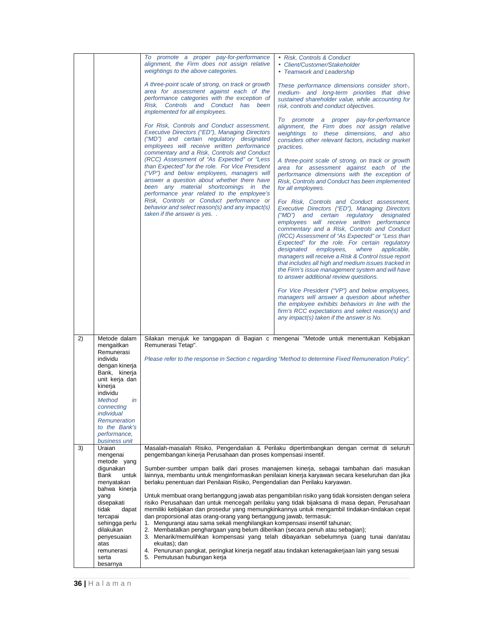|          |                                                                                                                                                                                                                                                                                                                                                                                                                                                                                                             | To promote a proper pay-for-performance<br>alignment, the Firm does not assign relative<br>weightings to the above categories.<br>A three-point scale of strong, on track or growth<br>area for assessment against each of the<br>performance categories with the exception of<br>Risk, Controls and Conduct has been<br>implemented for all employees.<br>For Risk, Controls and Conduct assessment,<br>Executive Directors ("ED"), Managing Directors<br>("MD") and certain regulatory designated<br>employees will receive written performance<br>commentary and a Risk, Controls and Conduct<br>(RCC) Assessment of "As Expected" or "Less<br>than Expected" for the role. For Vice President<br>("VP") and below employees, managers will<br>answer a question about whether there have<br>been any material shortcomings in the<br>performance year related to the employee's<br>Risk, Controls or Conduct performance or<br>behavior and select reason(s) and any impact(s)<br>taken if the answer is yes | • Risk, Controls & Conduct<br>• Client/Customer/Stakeholder<br>• Teamwork and Leadership<br>These performance dimensions consider short-,<br>medium- and long-term priorities that drive<br>sustained shareholder value, while accounting for<br>risk, controls and conduct objectives.<br>To promote a proper pay-for-performance<br>alignment, the Firm does not assign relative<br>weightings to these dimensions, and also<br>considers other relevant factors, including market<br>practices.<br>A three-point scale of strong, on track or growth<br>area for assessment against each of the<br>performance dimensions with the exception of<br>Risk, Controls and Conduct has been implemented<br>for all employees.<br>For Risk, Controls and Conduct assessment,<br>Executive Directors ("ED"), Managing Directors<br>("MD") and certain regulatory designated<br>employees will receive written performance<br>commentary and a Risk, Controls and Conduct<br>(RCC) Assessment of "As Expected" or "Less than<br>Expected" for the role. For certain regulatory<br>designated<br>employees,<br>where<br>applicable,<br>managers will receive a Risk & Control Issue report<br>that includes all high and medium issues tracked in<br>the Firm's issue management system and will have<br>to answer additional review questions.<br>For Vice President ("VP") and below employees,<br>managers will answer a question about whether<br>the employee exhibits behaviors in line with the<br>firm's RCC expectations and select reason(s) and<br>any impact(s) taken if the answer is No. |
|----------|-------------------------------------------------------------------------------------------------------------------------------------------------------------------------------------------------------------------------------------------------------------------------------------------------------------------------------------------------------------------------------------------------------------------------------------------------------------------------------------------------------------|------------------------------------------------------------------------------------------------------------------------------------------------------------------------------------------------------------------------------------------------------------------------------------------------------------------------------------------------------------------------------------------------------------------------------------------------------------------------------------------------------------------------------------------------------------------------------------------------------------------------------------------------------------------------------------------------------------------------------------------------------------------------------------------------------------------------------------------------------------------------------------------------------------------------------------------------------------------------------------------------------------------|--------------------------------------------------------------------------------------------------------------------------------------------------------------------------------------------------------------------------------------------------------------------------------------------------------------------------------------------------------------------------------------------------------------------------------------------------------------------------------------------------------------------------------------------------------------------------------------------------------------------------------------------------------------------------------------------------------------------------------------------------------------------------------------------------------------------------------------------------------------------------------------------------------------------------------------------------------------------------------------------------------------------------------------------------------------------------------------------------------------------------------------------------------------------------------------------------------------------------------------------------------------------------------------------------------------------------------------------------------------------------------------------------------------------------------------------------------------------------------------------------------------------------------------------------------------------------------------------------|
| 2)<br>3) | Metode dalam<br>mengaitkan<br>Remunerasi<br>individu<br>dengan kinerja<br>Bank, kinerja<br>unit kerja dan<br>kinerja<br>individu<br><b>Method</b><br>in<br>connecting<br>individual<br>Remuneration<br>to the Bank's<br>performance,<br>business unit<br>Uraian<br>mengenai<br>metode yang<br>digunakan<br><b>Bank</b><br>untuk<br>menyatakan<br>bahwa kinerja<br>yang<br>disepakati<br>dapat<br>tidak<br>tercapai<br>sehingga perlu<br>dilakukan<br>penyesuaian<br>atas<br>remunerasi<br>serta<br>besarnya | Remunerasi Tetap".<br>pengembangan kinerja Perusahaan dan proses kompensasi insentif.<br>berlaku penentuan dari Penilaian Risiko, Pengendalian dan Perilaku karyawan.<br>dan proporsional atas orang-orang yang bertanggung jawab, termasuk:<br>1. Mengurangi atau sama sekali menghilangkan kompensasi insentif tahunan;<br>2. Membatalkan penghargaan yang belum diberikan (secara penuh atau sebagian);<br>ekuitas); dan<br>4. Penurunan pangkat, peringkat kinerja negatif atau tindakan ketenagakerjaan lain yang sesuai<br>5. Pemutusan hubungan kerja                                                                                                                                                                                                                                                                                                                                                                                                                                                     | Silakan merujuk ke tanggapan di Bagian c mengenai "Metode untuk menentukan Kebijakan<br>Please refer to the response in Section c regarding "Method to determine Fixed Remuneration Policy".<br>Masalah-masalah Risiko, Pengendalian & Perilaku dipertimbangkan dengan cermat di seluruh<br>Sumber-sumber umpan balik dari proses manajemen kinerja, sebagai tambahan dari masukan<br>lainnya, membantu untuk menginformasikan penilaian kinerja karyawan secara keseluruhan dan jika<br>Untuk membuat orang bertanggung jawab atas pengambilan risiko yang tidak konsisten dengan selera<br>risiko Perusahaan dan untuk mencegah perilaku yang tidak bijaksana di masa depan, Perusahaan<br>memiliki kebijakan dan prosedur yang memungkinkannya untuk mengambil tindakan-tindakan cepat<br>3. Menarik/memulihkan kompensasi yang telah dibayarkan sebelumnya (uang tunai dan/atau                                                                                                                                                                                                                                                                                                                                                                                                                                                                                                                                                                                                                                                                                                              |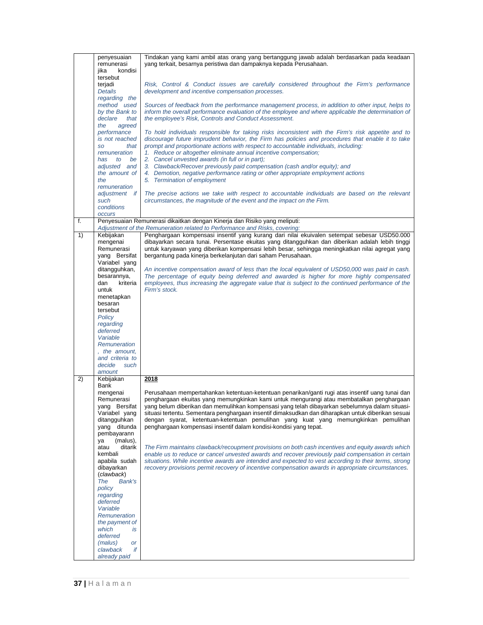|    | penyesuaian            | Tindakan yang kami ambil atas orang yang bertanggung jawab adalah berdasarkan pada keadaan                                                                                                        |
|----|------------------------|---------------------------------------------------------------------------------------------------------------------------------------------------------------------------------------------------|
|    | remunerasi             | yang terkait, besarnya peristiwa dan dampaknya kepada Perusahaan.                                                                                                                                 |
|    | kondisi<br>jika        |                                                                                                                                                                                                   |
|    | tersebut               |                                                                                                                                                                                                   |
|    | terjadi                | Risk, Control & Conduct issues are carefully considered throughout the Firm's performance                                                                                                         |
|    | <b>Details</b>         | development and incentive compensation processes.                                                                                                                                                 |
|    | regarding the          |                                                                                                                                                                                                   |
|    | method used            | Sources of feedback from the performance management process, in addition to other input, helps to                                                                                                 |
|    | by the Bank to         | inform the overall performance evaluation of the employee and where applicable the determination of                                                                                               |
|    | declare<br>that        | the employee's Risk, Controls and Conduct Assessment.                                                                                                                                             |
|    | the<br>agreed          |                                                                                                                                                                                                   |
|    | performance            | To hold individuals responsible for taking risks inconsistent with the Firm's risk appetite and to                                                                                                |
|    | is not reached         | discourage future imprudent behavior, the Firm has policies and procedures that enable it to take                                                                                                 |
|    | that<br><b>SO</b>      | prompt and proportionate actions with respect to accountable individuals, including:                                                                                                              |
|    | remuneration           | 1. Reduce or altogether eliminate annual incentive compensation;                                                                                                                                  |
|    | has<br>to<br>be        | 2. Cancel unvested awards (in full or in part);                                                                                                                                                   |
|    | adjusted and           | 3. Clawback/Recover previously paid compensation (cash and/or equity); and                                                                                                                        |
|    | the amount of          | 4. Demotion, negative performance rating or other appropriate employment actions                                                                                                                  |
|    | the                    | 5. Termination of employment                                                                                                                                                                      |
|    | remuneration           |                                                                                                                                                                                                   |
|    | adjustment if          | The precise actions we take with respect to accountable individuals are based on the relevant                                                                                                     |
|    | such                   | circumstances, the magnitude of the event and the impact on the Firm.                                                                                                                             |
|    | conditions             |                                                                                                                                                                                                   |
|    | <b>OCCUIS</b>          |                                                                                                                                                                                                   |
| f. |                        | Penyesuaian Remunerasi dikaitkan dengan Kinerja dan Risiko yang meliputi:                                                                                                                         |
|    |                        | Adjustment of the Remuneration related to Performance and Risks, covering:                                                                                                                        |
| 1) | Kebijakan              | Penghargaan kompensasi insentif yang kurang dari nilai ekuivalen setempat sebesar USD50.000                                                                                                       |
|    | mengenai<br>Remunerasi | dibayarkan secara tunai. Persentase ekuitas yang ditangguhkan dan diberikan adalah lebih tinggi<br>untuk karyawan yang diberikan kompensasi lebih besar, sehingga meningkatkan nilai agregat yang |
|    | yang Bersifat          | bergantung pada kinerja berkelanjutan dari saham Perusahaan.                                                                                                                                      |
|    | Variabel yang          |                                                                                                                                                                                                   |
|    | ditangguhkan,          |                                                                                                                                                                                                   |
|    | besarannya,            | An incentive compensation award of less than the local equivalent of USD50,000 was paid in cash.<br>The percentage of equity being deferred and awarded is higher for more highly compensated     |
|    | kriteria<br>dan        | employees, thus increasing the aggregate value that is subject to the continued performance of the                                                                                                |
|    | untuk                  | Firm's stock.                                                                                                                                                                                     |
|    |                        |                                                                                                                                                                                                   |
|    | menetapkan<br>besaran  |                                                                                                                                                                                                   |
|    | tersebut               |                                                                                                                                                                                                   |
|    | Policy                 |                                                                                                                                                                                                   |
|    | regarding              |                                                                                                                                                                                                   |
|    | deferred               |                                                                                                                                                                                                   |
|    | Variable               |                                                                                                                                                                                                   |
|    | Remuneration           |                                                                                                                                                                                                   |
|    | , the amount,          |                                                                                                                                                                                                   |
|    | and criteria to        |                                                                                                                                                                                                   |
|    | decide<br>such         |                                                                                                                                                                                                   |
|    | amount                 |                                                                                                                                                                                                   |
| 2) | Kebijakan              | 2018                                                                                                                                                                                              |
|    | Bank                   |                                                                                                                                                                                                   |
|    | mengenai               | Perusahaan mempertahankan ketentuan-ketentuan penarikan/ganti rugi atas insentif uang tunai dan                                                                                                   |
|    | Remunerasi             | penghargaan ekuitas yang memungkinkan kami untuk mengurangi atau membatalkan penghargaan                                                                                                          |
|    | yang Bersifat          | yang belum diberikan dan memulihkan kompensasi yang telah dibayarkan sebelumnya dalam situasi-                                                                                                    |
|    | Variabel yang          | situasi tertentu. Sementara penghargaan insentif dimaksudkan dan diharapkan untuk diberikan sesuai                                                                                                |
|    | ditangguhkan           | dengan syarat, ketentuan-ketentuan pemulihan yang kuat yang memungkinkan pemulihan                                                                                                                |
|    | yang ditunda           | penghargaan kompensasi insentif dalam kondisi-kondisi yang tepat.                                                                                                                                 |
|    | pembayarann            |                                                                                                                                                                                                   |
|    | (malus),<br>ya         |                                                                                                                                                                                                   |
|    | ditarik<br>atau        | The Firm maintains clawback/recoupment provisions on both cash incentives and equity awards which                                                                                                 |
|    | kembali                | enable us to reduce or cancel unvested awards and recover previously paid compensation in certain                                                                                                 |
|    | apabila sudah          | situations. While incentive awards are intended and expected to vest according to their terms, strong                                                                                             |
|    | dibayarkan             | recovery provisions permit recovery of incentive compensation awards in appropriate circumstances.                                                                                                |
|    | (clawback)             |                                                                                                                                                                                                   |
|    | Bank's<br>The          |                                                                                                                                                                                                   |
|    | policy                 |                                                                                                                                                                                                   |
|    | regarding              |                                                                                                                                                                                                   |
|    | deferred               |                                                                                                                                                                                                   |
|    | Variable               |                                                                                                                                                                                                   |
|    | <b>Remuneration</b>    |                                                                                                                                                                                                   |
|    | the payment of         |                                                                                                                                                                                                   |
|    | which<br>is            |                                                                                                                                                                                                   |
|    | deferred               |                                                                                                                                                                                                   |
|    | (malus)<br><b>or</b>   |                                                                                                                                                                                                   |
|    | clawback<br>if         |                                                                                                                                                                                                   |
|    | already paid           |                                                                                                                                                                                                   |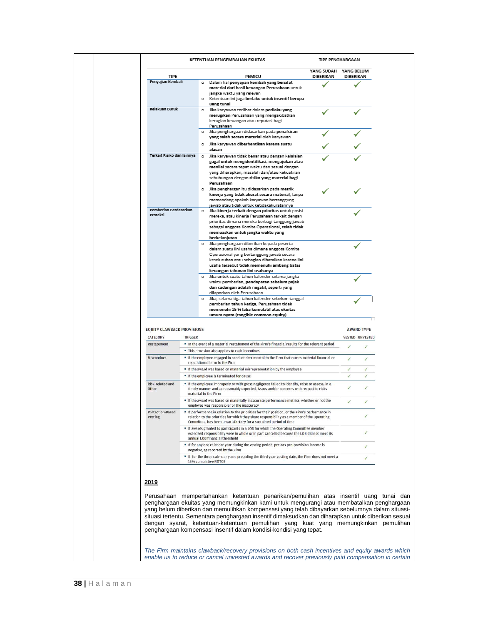| KETENTUAN PENGEMBALIAN EKUITAS    |                |                                                                                                                                                                                                                                                                                                                    | <b>TIPE PENGHARGAAN</b>        |                                |
|-----------------------------------|----------------|--------------------------------------------------------------------------------------------------------------------------------------------------------------------------------------------------------------------------------------------------------------------------------------------------------------------|--------------------------------|--------------------------------|
| <b>TIPE</b>                       |                | PEMICU                                                                                                                                                                                                                                                                                                             | YANG SUDAH<br><b>DIBERIKAN</b> | YANG BELUM<br><b>DIBERIKAN</b> |
| Penyajian Kembali                 |                | o Dalam hal penyajian kembali yang bersifat<br>material dari hasil keuangan Perusahaan untuk<br>jangka waktu yang relevan<br>o Ketentuan ini juga berlaku untuk insentif berupa                                                                                                                                    |                                |                                |
| Kelakuan Buruk                    |                | uang tunai<br>Jika karyawan terlibat dalam perilaku yang<br>$\circ$<br>merugikan Perusahaan yang mengakibatkan<br>kerugian keuangan atau reputasi bagi                                                                                                                                                             |                                |                                |
|                                   |                | Perusahaan<br>o Jika penghargaan didasarkan pada penafsiran<br>yang salah secara material oleh karyawan                                                                                                                                                                                                            |                                |                                |
|                                   |                | o Jika karyawan diberhentikan karena suatu<br>alasan                                                                                                                                                                                                                                                               |                                |                                |
| Terkait Risiko dan lainnya        |                | Jika karyawan tidak benar atau dengan kelalaian<br>$\circ$<br>gagal untuk mengidentifikasi, mengajukan atau<br>menilai secara tepat waktu dan sesuai dengan<br>yang diharapkan, masalah dan/atau kekuatiran<br>sehubungan dengan risiko yang material bagi<br>Perusahaan                                           |                                |                                |
|                                   |                | o Jika penghargan itu didasarkan pada metrik<br>kinerja yang tidak akurat secara material, tanpa<br>memandang apakah karyawan bertanggung<br>jawab atau tidak untuk ketidakakuratannya                                                                                                                             |                                |                                |
| Pemberian Berdasarkan<br>Proteksi |                | $\circ$<br>Jika kinerja terkait dengan prioritas untuk posisi<br>mereka, atau kinerja Perusahaan terkait dengan<br>prioritas dimana mereka berbagi tanggung jawab<br>sebagai anggota Komite Operasional, telah tidak<br>memuaskan untuk jangka waktu yang<br>berkelanjutan                                         |                                |                                |
|                                   |                | o Jika penghargaan diberikan kepada peserta<br>dalam suatu lini usaha dimana anggota Komite<br>Operasional yang bertanggung jawab secara<br>keseluruhan atau sebagian dibatalkan karena lini<br>usaha tersebut tidak memenuhi ambang batas<br>keuangan tahunan lini usahanya                                       |                                |                                |
|                                   |                | Jika untuk suatu tahun kalender selama jangka<br>waktu pemberian, pendapatan sebelum pajak<br>dan cadangan adalah negatif, seperti yang                                                                                                                                                                            |                                |                                |
|                                   |                |                                                                                                                                                                                                                                                                                                                    |                                |                                |
|                                   |                | dilaporkan oleh Perusahaan<br>Jika, selama tiga tahun kalender sebelum tanggal<br>pemberian tahun ketiga, Perusahaan tidak<br>memenuhi 15 % laba kumulatif atas ekuitas                                                                                                                                            |                                |                                |
| <b>EQUITY CLAWBACK PROVISIONS</b> |                | umum nyata (tangible common equity)                                                                                                                                                                                                                                                                                |                                | <b>AWARD TYPE</b>              |
| CATEGORY                          | <b>TRIGGER</b> |                                                                                                                                                                                                                                                                                                                    |                                | <b>VESTED UNVESTED</b>         |
| Restatement                       |                | " In the event of a material restatement of the Firm's financial results for the relevant period<br>" This provision also applies to cash incentives                                                                                                                                                               |                                | J                              |
| Misconduct                        |                | " If the employee engaged in conduct detrimental to the Firm that causes material financial or                                                                                                                                                                                                                     |                                | $\checkmark$                   |
|                                   |                | reputational harm to the Firm<br>" If the award was based on material misrepresentation by the employee                                                                                                                                                                                                            |                                | $\checkmark$                   |
| Risk-related and<br>Other         |                | " If the employee is terminated for cause<br>" If the employee improperly or with gross negligence failed to identify, raise or assess, in a<br>timely manner and as reasonably expected, issues and/or concerns with respect to risks                                                                             |                                | ✓                              |
|                                   |                | material to the Firm<br>" If the award was based on materially inaccurate performance metrics, whether or not the                                                                                                                                                                                                  |                                |                                |
| Protection-Based<br>Vesting       |                | emplovee was responsible for the inaccuracy<br># If performance in relation to the priorities for their position, or the Firm's performance in<br>relation to the priorities for which they share responsibility as a member of the Operating<br>Committee, has been unsatisfactory for a sustained period of time |                                |                                |
|                                   |                | " If awards granted to participants in a LOB for which the Operating Committee member<br>exercised responsibility were in whole or in part cancelled because the LOB did not meet its<br>annual LOB financial threshold                                                                                            |                                |                                |
|                                   |                | " If for any one calendar year during the vesting period, pre-tax pre-provision income is<br>negative, as reported by the Firm                                                                                                                                                                                     |                                |                                |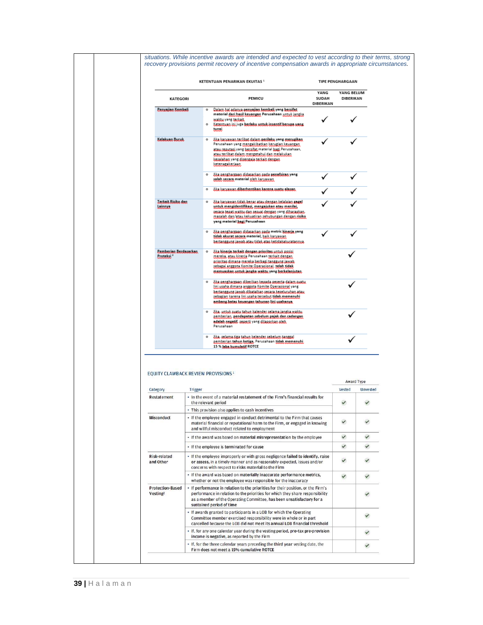|                                                       |                | KETENTUAN PENARIKAN EKUITAS <sup>1</sup>                                                                                                                                                                                                                                               |                            | <b>TIPE PENGHARGAAN</b> |              |
|-------------------------------------------------------|----------------|----------------------------------------------------------------------------------------------------------------------------------------------------------------------------------------------------------------------------------------------------------------------------------------|----------------------------|-------------------------|--------------|
| KATEGORI                                              |                | PEMICU                                                                                                                                                                                                                                                                                 | YANG<br>SUDAH<br>DIBERIKAN | YANG BELUM<br>DIBERIKAN |              |
| <b>Escoziiac Kecchali</b>                             |                | Qalaxa hal adauxa asuvalian ksuubali yong bersifat.<br>۰<br>material dari hasil keyangan Perusahaan untuk jangka<br>waktu yang terkait.<br>Keteatuun ini just berlaku untuk insentif berupa usna<br>$\circ$<br>tunai                                                                   |                            |                         |              |
| Kelekuan Buruk                                        |                | lika kacaawan terlikat dalam perilaku yang merugikan.<br>۰<br>Perusahaan yang mengakibatkan kerugian keuangan<br>atau reautasi yang bersifat material bagi Perusahaan,<br>atau terlikat dalam mengetahui dan melakukan.<br>kesalaban yang disengaia terkait dengan<br>ketenagakerjaan  |                            |                         |              |
|                                                       |                | <u>Jika asoshacsaan didasackan aada asoofsican yang</u><br>$\circ$<br>salah secara material oleh kanyawan                                                                                                                                                                              |                            |                         |              |
|                                                       |                | lika kacaawan diberhentikan karena suatu alasan.<br>$\circ$                                                                                                                                                                                                                            |                            |                         |              |
| <b>Jeckeit Bisike dan</b><br>سنننا                    |                | lika kacamata tidak begar atau degean kelalaian sesel<br>$\circ$<br><u>untuk mengidentifikasi, mengajukan atau menilai, </u><br>assaca ssaas waktu dad assuai dedead yang dibacaakad.<br>masalah dan/atau kekuatiran sehubungan dengan risiko.<br>yang material bagi Perusahaan        |                            |                         |              |
|                                                       |                | Jika asusharsaan didasarkan aada metric kinsria yang<br>$\circ$<br>tidak akurat secara material, baik karyawan<br>bsutanggung iawab atau tidak atas ketidakakuratannya.                                                                                                                |                            |                         |              |
| <b>Esmberian Berdasarkan</b><br>Proteksi <sup>2</sup> |                | lika kineria terkait dengan prioritas untuk aosisi<br>$\circ$<br>mereka, atau kineria Perusahaan terkait dengan<br>eciecitas dicoana concelsa berbagi tanggung jawab.<br>ashagai anggota Komite Operasional, telah tidak<br>memuaakan untuk janaka waktu yona berkelanjutan.           |                            |                         |              |
|                                                       |                | Jika asosbacsaan dibscikan kegada assecta dalam suatu<br>۰<br><u>lini usaba dimana anapota Komite Operazional</u> vana<br>bsctanggung izwale dibatalkan assaca keselucuhan atau.<br>askarian kacana lini usaha tersebut tidak memenuhi<br>ambang batas kewangan tahunan lini usahanya. |                            |                         |              |
|                                                       |                | lika, watuk suatu tahwa kalender selama jangka waktu.<br>$\circ$<br>pemberian, pendapatan sebelum pajak dan cadangan<br>adalah negatif, seperti yang dilaparkan aleh.<br>Perusahaan                                                                                                    |                            |                         |              |
|                                                       |                | lika, aslama tiza tahun kelender sebelum tanazal<br>۰<br>gemberian tahun ketiga, Perusahaan tidak memenuhi,<br>15 % Jaka kumulatif ROTCE                                                                                                                                               |                            |                         |              |
|                                                       |                | EQUITY CLAWBACK REVIEW PROVISIONS <sup>1</sup>                                                                                                                                                                                                                                         |                            |                         | Award Type   |
| Category                                              | <b>Trigger</b> |                                                                                                                                                                                                                                                                                        |                            | Vested                  | Unvested     |
| <b>Restatement</b>                                    |                | . In the event of a material restatement of the Firm's financial results for<br>the relevant period                                                                                                                                                                                    |                            | v                       | ٧            |
| Misconduct                                            |                | · This provision also applies to cash incentives<br>• If the employee engaged in conduct detrimental to the Firm that causes<br>material financial or reputational harm to the Firm, or engaged in knowing<br>and willful misconduct related to employment                             |                            | $\checkmark$            | $\checkmark$ |
|                                                       |                | · If the award was based on material misrepresentation by the employee                                                                                                                                                                                                                 |                            | $\checkmark$            | ✓            |
|                                                       |                | • If the employee is terminated for cause                                                                                                                                                                                                                                              |                            | $\checkmark$            | v            |
| Risk-related<br>and Other                             |                | · If the employee improperly or with gross negligence failed to identify, raise<br>or assess, in a timely manner and as reasonably expected, issues and/or<br>concerns with respect to risks material to the Firm                                                                      |                            | $\checkmark$            | v            |

- If the award was based on materially inaccurate performance metrics,

· If performance in relation to the priorities for their position, or the Firm's

profound the Operating Committee, has been unsatisfactory for a<br>sistained period of time - If awards granted to participants in a LOB for which the Operating

Committee member exercised responsibility were in whole or in part<br>cancelled because the LOB did not meet its annual LOB financial threshold  $\cdot\,$  If, for any one calendar year during the vesting period, pre-tax pre-provision income is negative, as reported by the Firm

performance in relation to the priorities for which they share responsibility

whether or not the employee was responsible for the inaccuracy

 $\checkmark$ 

 $\checkmark$ 

 $\checkmark$ 

 $\checkmark$ 

 $\checkmark$ 

 $\checkmark$ 

|  | . If, for the three calendar years preceding the third year vesting date, the |
|--|-------------------------------------------------------------------------------|
|  | Firm does not meet a 15% cumulative ROTCE                                     |
|  |                                                                               |
|  |                                                                               |
|  |                                                                               |
|  |                                                                               |

Protection-Based

Vesting<sup>2</sup>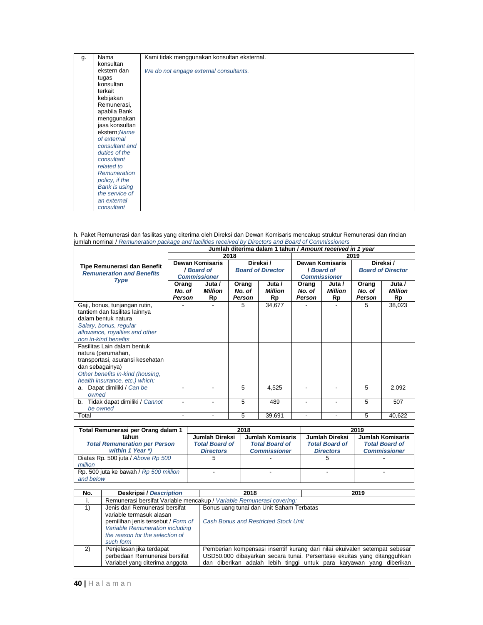| g. | Nama                 | Kami tidak menggunakan konsultan eksternal. |
|----|----------------------|---------------------------------------------|
|    | konsultan            |                                             |
|    | ekstern dan          | We do not engage external consultants.      |
|    | tugas                |                                             |
|    | konsultan            |                                             |
|    | terkait              |                                             |
|    | kebijakan            |                                             |
|    | Remunerasi,          |                                             |
|    | apabila Bank         |                                             |
|    | menggunakan          |                                             |
|    | jasa konsultan       |                                             |
|    | ekstern; Name        |                                             |
|    | of external          |                                             |
|    | consultant and       |                                             |
|    | duties of the        |                                             |
|    | consultant           |                                             |
|    | related to           |                                             |
|    | Remuneration         |                                             |
|    | policy, if the       |                                             |
|    | <b>Bank is using</b> |                                             |
|    | the service of       |                                             |
|    | an external          |                                             |
|    | consultant           |                                             |

h. Paket Remunerasi dan fasilitas yang diterima oleh Direksi dan Dewan Komisaris mencakup struktur Remunerasi dan rincian jumlah nominal / Remuneration package and facilities received by Directors and Board of Commissioners

|                                     |                        |                          |        |                          |        | Jumlah diterima dalam 1 tahun / Amount received in 1 year |        |                          |  |  |  |
|-------------------------------------|------------------------|--------------------------|--------|--------------------------|--------|-----------------------------------------------------------|--------|--------------------------|--|--|--|
|                                     |                        |                          | 2018   |                          | 2019   |                                                           |        |                          |  |  |  |
| Tipe Remunerasi dan Benefit         | <b>Dewan Komisaris</b> |                          |        | Direksi/                 |        | <b>Dewan Komisaris</b>                                    |        | Direksi /                |  |  |  |
| <b>Remuneration and Benefits</b>    |                        | I Board of               |        | <b>Board of Director</b> |        | <b>I</b> Board of                                         |        | <b>Board of Director</b> |  |  |  |
| <b>Type</b>                         |                        | <b>Commissioner</b>      |        |                          |        | <b>Commissioner</b>                                       |        |                          |  |  |  |
|                                     | Orang                  | Juta /                   | Orang  | Juta /                   | Orang  | Juta /                                                    | Orang  | Juta /                   |  |  |  |
|                                     | No. of                 | <b>Million</b>           | No. of | Million                  | No. of | Million                                                   | No. of | Million                  |  |  |  |
|                                     | Person                 | Rp                       | Person | Rp                       | Person | Rp                                                        | Person | Rp                       |  |  |  |
| Gaji, bonus, tunjangan rutin,       |                        |                          | 5      | 34,677                   |        |                                                           | 5      | 38,023                   |  |  |  |
| tantiem dan fasilitas lainnya       |                        |                          |        |                          |        |                                                           |        |                          |  |  |  |
| dalam bentuk natura                 |                        |                          |        |                          |        |                                                           |        |                          |  |  |  |
| Salary, bonus, regular              |                        |                          |        |                          |        |                                                           |        |                          |  |  |  |
| allowance, royalties and other      |                        |                          |        |                          |        |                                                           |        |                          |  |  |  |
| non in-kind benefits                |                        |                          |        |                          |        |                                                           |        |                          |  |  |  |
| Fasilitas Lain dalam bentuk         |                        |                          |        |                          |        |                                                           |        |                          |  |  |  |
| natura (perumahan,                  |                        |                          |        |                          |        |                                                           |        |                          |  |  |  |
| transportasi, asuransi kesehatan    |                        |                          |        |                          |        |                                                           |        |                          |  |  |  |
| dan sebagainya)                     |                        |                          |        |                          |        |                                                           |        |                          |  |  |  |
| Other benefits in-kind (housing,    |                        |                          |        |                          |        |                                                           |        |                          |  |  |  |
| health insurance, etc.) which:      |                        |                          |        |                          |        |                                                           |        |                          |  |  |  |
| Dapat dimiliki / Can be<br>a.       |                        | $\overline{\phantom{0}}$ | 5      | 4,525                    |        |                                                           | 5      | 2,092                    |  |  |  |
| owned                               |                        |                          |        |                          |        |                                                           |        |                          |  |  |  |
| Tidak dapat dimiliki / Cannot<br>b. |                        | $\overline{\phantom{0}}$ | 5      | 489                      |        | ٠                                                         | 5      | 507                      |  |  |  |
| be owned                            |                        |                          |        |                          |        |                                                           |        |                          |  |  |  |
| Total                               |                        |                          | 5      | 39,691                   |        |                                                           | 5      | 40,622                   |  |  |  |

| Total Remunerasi per Orang dalam 1     |                       | 2018                  | 2019                  |                       |  |
|----------------------------------------|-----------------------|-----------------------|-----------------------|-----------------------|--|
| tahun                                  | Jumlah Direksi        | Jumlah Komisaris      | Jumlah Direksi        | Jumlah Komisaris      |  |
| <b>Total Remuneration per Person</b>   | <b>Total Board of</b> | <b>Total Board of</b> | <b>Total Board of</b> | <b>Total Board of</b> |  |
| within 1 Year *)                       | <b>Directors</b>      | <b>Commissioner</b>   | <b>Directors</b>      | <b>Commissioner</b>   |  |
| Diatas Rp. 500 juta / Above Rp 500     | 5                     |                       |                       |                       |  |
| million                                |                       |                       |                       |                       |  |
| Rp. 500 juta ke bawah / Rp 500 million |                       |                       |                       |                       |  |
| and below                              |                       |                       |                       |                       |  |

| No. | <b>Deskripsi / Description</b>                                                                                        | 2018                                        | 2019                                                                                                                                                                                                                          |  |  |  |  |
|-----|-----------------------------------------------------------------------------------------------------------------------|---------------------------------------------|-------------------------------------------------------------------------------------------------------------------------------------------------------------------------------------------------------------------------------|--|--|--|--|
| .,  | Remunerasi bersifat Variable mencakup / Variable Remunerasi covering:                                                 |                                             |                                                                                                                                                                                                                               |  |  |  |  |
| 1)  | Jenis dari Remunerasi bersifat<br>variable termasuk alasan                                                            | Bonus uang tunai dan Unit Saham Terbatas    |                                                                                                                                                                                                                               |  |  |  |  |
|     | pemilihan jenis tersebut / Form of<br>Variable Remuneration including<br>the reason for the selection of<br>such form | <b>Cash Bonus and Restricted Stock Unit</b> |                                                                                                                                                                                                                               |  |  |  |  |
| 2)  | Penjelasan jika terdapat<br>perbedaan Remunerasi bersifat<br>Variabel yang diterima anggota                           |                                             | Pemberian kompensasi insentif kurang dari nilai ekuivalen setempat sebesar<br>USD50.000 dibayarkan secara tunai. Persentase ekuitas yang ditangguhkan<br>dan diberikan adalah lebih tinggi untuk para karyawan yang diberikan |  |  |  |  |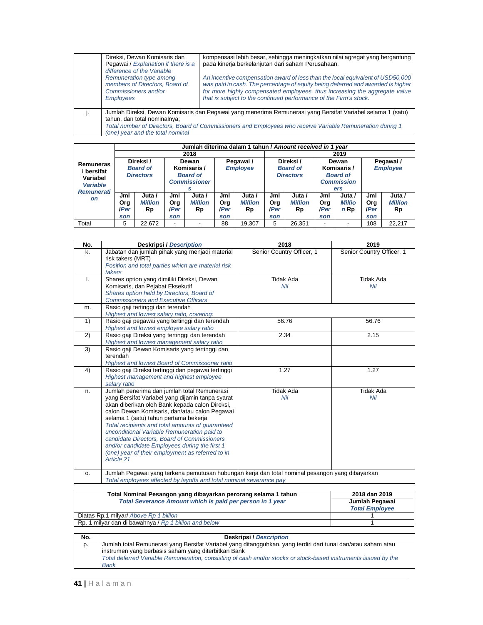| Direksi. Dewan Komisaris dan<br>Pegawai / Explanation if there is a<br>difference of the Variable     | kompensasi lebih besar, sehingga meningkatkan nilai agregat yang bergantung<br>pada kinerja berkelanjutan dari saham Perusahaan.                                                                                                                                                                                     |
|-------------------------------------------------------------------------------------------------------|----------------------------------------------------------------------------------------------------------------------------------------------------------------------------------------------------------------------------------------------------------------------------------------------------------------------|
| Remuneration type among<br>members of Directors, Board of<br>Commissioners and/or<br><b>Employees</b> | An incentive compensation award of less than the local equivalent of USD50,000<br>was paid in cash. The percentage of equity being deferred and awarded is higher<br>for more highly compensated employees, thus increasing the aggregate value<br>that is subject to the continued performance of the Firm's stock. |
| tahun, dan total nominalnya:<br>(one) year and the total nominal                                      | Jumlah Direksi, Dewan Komisaris dan Pegawai yang menerima Remunerasi yang Bersifat Variabel selama 1 (satu)<br>Total number of Directors, Board of Commissioners and Employees who receive Variable Remuneration during 1                                                                                            |

|                                                                             |                                  | Jumlah diterima dalam 1 tahun / Amount received in 1 year                                                              |                                  |                                |                                  |                                                  |                                         |                                                                     |                                  |                                     |                                  |                                |  |
|-----------------------------------------------------------------------------|----------------------------------|------------------------------------------------------------------------------------------------------------------------|----------------------------------|--------------------------------|----------------------------------|--------------------------------------------------|-----------------------------------------|---------------------------------------------------------------------|----------------------------------|-------------------------------------|----------------------------------|--------------------------------|--|
| Remuneras<br>i bersifat<br>Variabel<br><b>Variable</b><br><b>Remunerati</b> |                                  |                                                                                                                        | 2018                             |                                |                                  |                                                  |                                         | 2019                                                                |                                  |                                     |                                  |                                |  |
|                                                                             |                                  | Direksi/<br>Dewan<br><b>Board of</b><br>Komisaris /<br><b>Directors</b><br><b>Board of</b><br><b>Commissioner</b><br>s |                                  | Pegawai /<br><b>Employee</b>   |                                  | Direksi /<br><b>Board of</b><br><b>Directors</b> |                                         | Dewan<br>Komisaris /<br><b>Board of</b><br><b>Commission</b><br>ers |                                  | Pegawai /<br><b>Employee</b>        |                                  |                                |  |
| <b>on</b>                                                                   | Jml<br>Org<br><b>IPer</b><br>son | Juta /<br><b>Million</b><br>Rp                                                                                         | Jml<br>Org<br><b>IPer</b><br>son | Juta /<br><b>Million</b><br>Rp | Jml<br>Org<br><b>IPer</b><br>son | Juta /<br><b>Million</b><br>Rp                   | Jml<br><b>Org</b><br><b>IPer</b><br>son | Juta /<br><b>Million</b><br>Rp                                      | Jml<br>Org<br><b>IPer</b><br>son | Juta /<br>Millio<br>$n \mathsf{Rp}$ | Jml<br>Org<br><b>IPer</b><br>son | Juta /<br><b>Million</b><br>Rp |  |
| Total                                                                       | 5                                | 22.672                                                                                                                 | -                                |                                | 88                               | 19.307                                           | 5                                       | 26.351                                                              | ۰                                |                                     | 108                              | 22.217                         |  |

| No. | <b>Deskripsi / Description</b>                                                                                                                                                                                                                                                                                                                                                                                                                                                                                   | 2018                      | 2019                      |
|-----|------------------------------------------------------------------------------------------------------------------------------------------------------------------------------------------------------------------------------------------------------------------------------------------------------------------------------------------------------------------------------------------------------------------------------------------------------------------------------------------------------------------|---------------------------|---------------------------|
| k.  | Jabatan dan jumlah pihak yang menjadi material<br>risk takers (MRT)<br>Position and total parties which are material risk<br>takers                                                                                                                                                                                                                                                                                                                                                                              | Senior Country Officer, 1 | Senior Country Officer, 1 |
| ı.  | Shares option yang dimiliki Direksi, Dewan<br>Komisaris, dan Pejabat Eksekutif<br>Shares option held by Directors, Board of<br><b>Commissioners and Executive Officers</b>                                                                                                                                                                                                                                                                                                                                       | <b>Tidak Ada</b><br>Nil   | <b>Tidak Ada</b><br>Nil   |
| m.  | Rasio gaji tertinggi dan terendah<br>Highest and lowest salary ratio, covering:                                                                                                                                                                                                                                                                                                                                                                                                                                  |                           |                           |
| 1)  | Rasio gaji pegawai yang tertinggi dan terendah<br>Highest and lowest employee salary ratio                                                                                                                                                                                                                                                                                                                                                                                                                       | 56.76                     | 56.76                     |
| 2)  | Rasio gaji Direksi yang tertinggi dan terendah<br>Highest and lowest management salary ratio                                                                                                                                                                                                                                                                                                                                                                                                                     | 2.34                      | 2.15                      |
| 3)  | Rasio gaji Dewan Komisaris yang tertinggi dan<br>terendah<br><b>Highest and lowest Board of Commissioner ratio</b>                                                                                                                                                                                                                                                                                                                                                                                               |                           |                           |
| 4)  | Rasio gaji Direksi tertinggi dan pegawai tertinggi<br>Highest management and highest employee<br>salary ratio                                                                                                                                                                                                                                                                                                                                                                                                    | 1.27                      | 1.27                      |
| n.  | Jumlah penerima dan jumlah total Remunerasi<br>yang Bersifat Variabel yang dijamin tanpa syarat<br>akan diberikan oleh Bank kepada calon Direksi,<br>calon Dewan Komisaris, dan/atau calon Pegawai<br>selama 1 (satu) tahun pertama bekerja<br>Total recipients and total amounts of quaranteed<br>unconditional Variable Remuneration paid to<br>candidate Directors, Board of Commissioners<br>and/or candidate Employees during the first 1<br>(one) year of their employment as referred to in<br>Article 21 | <b>Tidak Ada</b><br>Nil   | <b>Tidak Ada</b><br>Nil   |
| 0.  | Jumlah Pegawai yang terkena pemutusan hubungan kerja dan total nominal pesangon yang dibayarkan<br>Total employees affected by layoffs and total nominal severance pay                                                                                                                                                                                                                                                                                                                                           |                           |                           |

| Total Nominal Pesangon yang dibayarkan perorang selama 1 tahun | 2018 dan 2019                           |  |  |
|----------------------------------------------------------------|-----------------------------------------|--|--|
| Total Severance Amount which is paid per person in 1 year      | Jumlah Pegawai<br><b>Total Employee</b> |  |  |
| Diatas Rp.1 milyar/ Above Rp 1 billion                         |                                         |  |  |
| Rp. 1 milyar dan di bawahnya / Rp 1 billion and below          |                                         |  |  |

| No. | <b>Deskripsi / Description</b>                                                                                  |  |  |  |  |  |
|-----|-----------------------------------------------------------------------------------------------------------------|--|--|--|--|--|
| p.  | Jumlah total Remunerasi yang Bersifat Variabel yang ditangguhkan, yang terdiri dari tunai dan/atau saham atau   |  |  |  |  |  |
|     | instrumen yang berbasis saham yang diterbitkan Bank                                                             |  |  |  |  |  |
|     | Total deferred Variable Remuneration, consisting of cash and/or stocks or stock-based instruments issued by the |  |  |  |  |  |
|     | <b>Bank</b>                                                                                                     |  |  |  |  |  |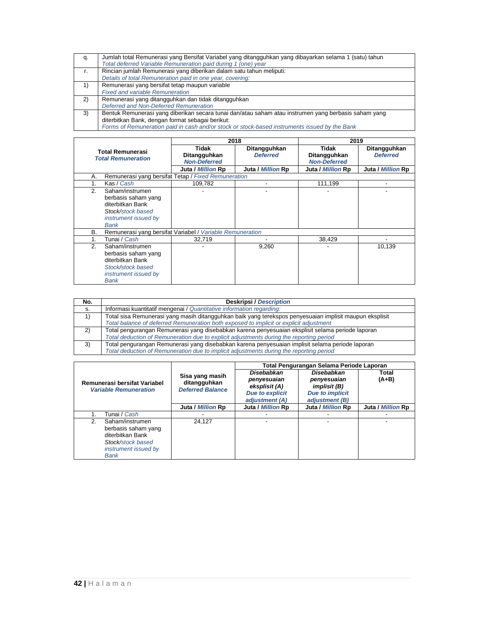| q. | Jumlah total Remunerasi yang Bersifat Variabel yang ditangguhkan yang dibayarkan selama 1 (satu) tahun |
|----|--------------------------------------------------------------------------------------------------------|
|    | Total deferred Variable Remuneration paid during 1 (one) year                                          |
| r. | Rincian jumlah Remunerasi yang diberikan dalam satu tahun meliputi:                                    |
|    | Details of total Remuneration paid in one year, covering:                                              |
| 1) | Remunerasi yang bersifat tetap maupun variable                                                         |
|    | <b>Fixed and variable Remuneration</b>                                                                 |
| 2) | Remunerasi yang ditangguhkan dan tidak ditangguhkan                                                    |
|    | Deferred and Non-Deferred Remuneration                                                                 |
| 3) | Bentuk Remunerasi yang diberikan secara tunai dan/atau saham atau instrumen yang berbasis saham yang   |
|    | diterbitkan Bank, dengan format sebagai berikut:                                                       |
|    | Forms of Remuneration paid in cash and/or stock or stock-based instruments issued by the Bank          |

|                           |                                                           | 2018                |                   | 2019                |                   |  |  |
|---------------------------|-----------------------------------------------------------|---------------------|-------------------|---------------------|-------------------|--|--|
|                           | Total Remunerasi                                          | Tidak               | Ditangguhkan      | Tidak               | Ditangguhkan      |  |  |
| <b>Total Remuneration</b> |                                                           | Ditangguhkan        | <b>Deferred</b>   | Ditangguhkan        | <b>Deferred</b>   |  |  |
|                           |                                                           | <b>Non-Deferred</b> |                   | <b>Non-Deferred</b> |                   |  |  |
|                           |                                                           | Juta / Million Rp   | Juta / Million Rp | Juta / Million Rp   | Juta / Million Rp |  |  |
| А.                        | Remunerasi yang bersifat Tetap / Fixed Remuneration       |                     |                   |                     |                   |  |  |
| 1.                        | Kas / Cash                                                | 109.782             |                   | 111.199             |                   |  |  |
| 2.                        | Saham/instrumen                                           |                     |                   |                     |                   |  |  |
|                           | berbasis saham yang                                       |                     |                   |                     |                   |  |  |
|                           | diterbitkan Bank                                          |                     |                   |                     |                   |  |  |
|                           | Stock/stock based                                         |                     |                   |                     |                   |  |  |
|                           | instrument issued by                                      |                     |                   |                     |                   |  |  |
|                           | Bank                                                      |                     |                   |                     |                   |  |  |
| В.                        | Remunerasi yang bersifat Variabel / Variable Remuneration |                     |                   |                     |                   |  |  |
| 1.                        | Tunai / <i>Cash</i>                                       | 32.719              |                   | 38,429              |                   |  |  |
| 2.                        | Saham/instrumen                                           |                     | 9,260             |                     | 10,139            |  |  |
|                           | berbasis saham yang                                       |                     |                   |                     |                   |  |  |
|                           | diterbitkan Bank                                          |                     |                   |                     |                   |  |  |
|                           | Stock/stock based                                         |                     |                   |                     |                   |  |  |
|                           | instrument issued by                                      |                     |                   |                     |                   |  |  |
|                           | Bank                                                      |                     |                   |                     |                   |  |  |

| No. | <b>Deskripsi / Description</b>                                                                          |
|-----|---------------------------------------------------------------------------------------------------------|
| s.  | Informasi kuantitatif mengenai / Quantitative information regarding:                                    |
|     | Total sisa Remunerasi yang masih ditangguhkan baik yang terekspos penyesuaian implisit maupun eksplisit |
|     | Total balance of deferred Remuneration both exposed to implicit or explicit adjustment                  |
| 2)  | Total pengurangan Remunerasi yang disebabkan karena penyesuaian eksplisit selama periode laporan        |
|     | Total deduction of Remuneration due to explicit adjustments during the reporting period                 |
| 3)  | Total pengurangan Remunerasi yang disebabkan karena penyesuaian implisit selama periode laporan         |
|     | Total deduction of Remuneration due to implicit adjustments during the reporting period                 |

|                                                                                                                              |                                                            | Total Pengurangan Selama Periode Laporan                                               |                                                                                              |                   |  |  |
|------------------------------------------------------------------------------------------------------------------------------|------------------------------------------------------------|----------------------------------------------------------------------------------------|----------------------------------------------------------------------------------------------|-------------------|--|--|
| Remunerasi bersifat Variabel<br><b>Variable Remuneration</b>                                                                 | Sisa yang masih<br>ditangguhkan<br><b>Deferred Balance</b> | Disebabkan<br>penyesuaian<br>eksplisit (A)<br><b>Due to explicit</b><br>adjustment (A) | Disebabkan<br>penyesuaian<br><i>implisit (B)</i><br><b>Due to implicit</b><br>adjustment (B) | Total<br>$(A+B)$  |  |  |
|                                                                                                                              | Juta / Million Rp                                          | Juta / Million Rp                                                                      | Juta / Million Rp                                                                            | Juta / Million Rp |  |  |
| Tunai / <i>Cash</i>                                                                                                          |                                                            |                                                                                        |                                                                                              |                   |  |  |
| Saham/instrumen<br>2.<br>berbasis saham yang<br>diterbitkan Bank<br>Stock/stock based<br>instrument issued by<br><b>Bank</b> | 24.127                                                     |                                                                                        |                                                                                              |                   |  |  |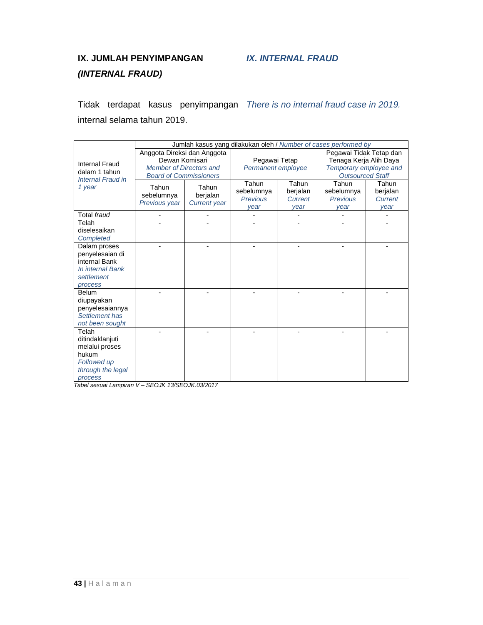## **IX. JUMLAH PENYIMPANGAN (INTERNAL FRAUD)**

Tidak terdapat kasus penyimpangan There is no internal fraud case in 2019. internal selama tahun 2019.

|                                                                       | Jumlah kasus yang dilakukan oleh / Number of cases performed by |                                 |                    |               |                         |                        |  |
|-----------------------------------------------------------------------|-----------------------------------------------------------------|---------------------------------|--------------------|---------------|-------------------------|------------------------|--|
| Internal Fraud<br>dalam 1 tahun<br><b>Internal Fraud in</b><br>1 year | Anggota Direksi dan Anggota                                     |                                 |                    |               | Pegawai Tidak Tetap dan |                        |  |
|                                                                       | Dewan Komisari                                                  |                                 |                    | Pegawai Tetap |                         | Tenaga Kerja Alih Daya |  |
|                                                                       | Member of Directors and                                         |                                 | Permanent employee |               | Temporary employee and  |                        |  |
|                                                                       | <b>Board of Commissioners</b>                                   |                                 |                    |               | <b>Outsourced Staff</b> |                        |  |
|                                                                       | Tahun<br>sebelumnya<br>Previous year                            | Tahun                           | Tahun              | Tahun         | Tahun                   | Tahun                  |  |
|                                                                       |                                                                 | berjalan<br><b>Current year</b> | sebelumnya         | berjalan      | sebelumnya              | berjalan               |  |
|                                                                       |                                                                 |                                 | Previous           | Current       | <b>Previous</b>         | Current                |  |
|                                                                       |                                                                 |                                 | year               | year          | year                    | year                   |  |
| Total fraud                                                           |                                                                 |                                 |                    |               |                         |                        |  |
| Telah                                                                 |                                                                 |                                 |                    |               |                         |                        |  |
| diselesaikan                                                          |                                                                 |                                 |                    |               |                         |                        |  |
| <b>Completed</b>                                                      |                                                                 |                                 |                    |               |                         |                        |  |
| Dalam proses                                                          |                                                                 |                                 |                    |               |                         |                        |  |
| penyelesaian di                                                       |                                                                 |                                 |                    |               |                         |                        |  |
| internal Bank                                                         |                                                                 |                                 |                    |               |                         |                        |  |
| In internal Bank                                                      |                                                                 |                                 |                    |               |                         |                        |  |
| settlement                                                            |                                                                 |                                 |                    |               |                         |                        |  |
| process                                                               |                                                                 |                                 |                    |               |                         |                        |  |
| Belum                                                                 |                                                                 |                                 |                    |               |                         |                        |  |
| diupayakan                                                            |                                                                 |                                 |                    |               |                         |                        |  |
| penyelesaiannya                                                       |                                                                 |                                 |                    |               |                         |                        |  |
| Settlement has                                                        |                                                                 |                                 |                    |               |                         |                        |  |
| not been sought                                                       |                                                                 |                                 |                    |               |                         |                        |  |
| Telah                                                                 |                                                                 |                                 |                    |               |                         |                        |  |
| ditindaklanjuti                                                       |                                                                 |                                 |                    |               |                         |                        |  |
| melalui proses                                                        |                                                                 |                                 |                    |               |                         |                        |  |
| hukum                                                                 |                                                                 |                                 |                    |               |                         |                        |  |
| <b>Followed up</b>                                                    |                                                                 |                                 |                    |               |                         |                        |  |
| through the legal                                                     |                                                                 |                                 |                    |               |                         |                        |  |
| process                                                               |                                                                 |                                 |                    |               |                         |                        |  |

Tabel sesuai Lampiran V – SEOJK 13/SEOJK.03/2017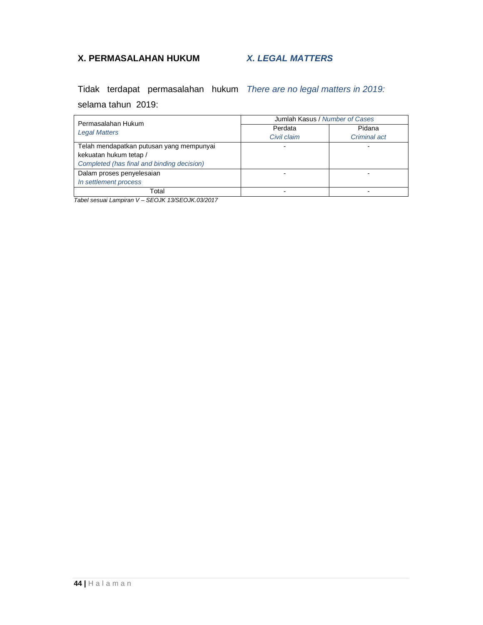## **X. PERMASALAHAN HUKUM**

### **X. LEGAL MATTERS**

Tidak terdapat permasalahan hukum There are no legal matters in 2019: selama tahun 2019:

| Permasalahan Hukum                         | Jumlah Kasus / Number of Cases |              |  |  |
|--------------------------------------------|--------------------------------|--------------|--|--|
| <b>Legal Matters</b>                       | Perdata                        | Pidana       |  |  |
|                                            | Civil claim                    | Criminal act |  |  |
| Telah mendapatkan putusan yang mempunyai   |                                |              |  |  |
| kekuatan hukum tetap /                     |                                |              |  |  |
| Completed (has final and binding decision) |                                |              |  |  |
| Dalam proses penyelesaian                  |                                |              |  |  |
| In settlement process                      |                                |              |  |  |
| Total                                      |                                |              |  |  |

Tabel sesuai Lampiran V – SEOJK 13/SEOJK.03/2017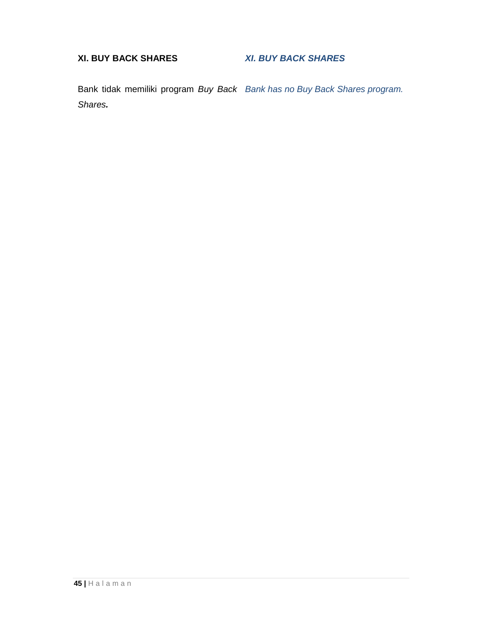## **XI. BUY BACK SHARES**

## **XI. BUY BACK SHARES**

Bank tidak memiliki program Buy Back Bank has no Buy Back Shares program. Shares**.**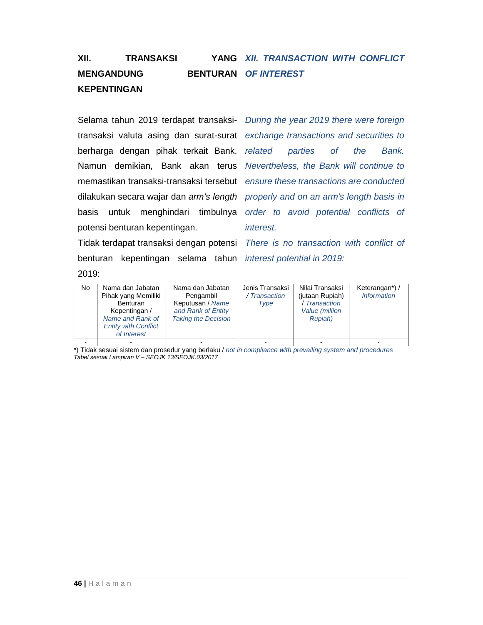#### **XII.** TRANSAKSI **MENGANDUNG KEPENTINGAN** YANG XII. TRANSACTION WITH CONFLICT **BENTURAN OF INTEREST**

Selama tahun 2019 terdapat transaksi- During the year 2019 there were foreign transaksi valuta asing dan surat-surat exchange transactions and securities to berharga dengan pihak terkait Bank. related parties of the Bank. Namun demikian, Bank akan terus Nevertheless, the Bank will continue to memastikan transaksi-transaksi tersebut ensure these transactions are conducted dilakukan secara wajar dan arm's length properly and on an arm's length basis in basis untuk menghindari timbulnya order to avoid potential conflicts of potensi benturan kepentingan.

Tidak terdapat transaksi dengan potensi There is no transaction with conflict of benturan kepentingan selama tahun *interest potential in* 2019: 2019:

interest.

| <b>No</b> | Nama dan Jabatan<br>Pihak yang Memiliki<br><b>Benturan</b><br>Kepentingan /<br>Name and Rank of<br><b>Entity with Conflict</b><br>of Interest | Nama dan Jabatan<br>Pengambil<br>Keputusan / Name<br>and Rank of Entity<br><b>Taking the Decision</b> | Jenis Transaksi<br>/ Transaction<br>Type | Nilai Transaksi<br>(jutaan Rupiah)<br>/ Transaction<br>Value (million<br>Rupiah) | Keterangan*) /<br><b>Information</b> |
|-----------|-----------------------------------------------------------------------------------------------------------------------------------------------|-------------------------------------------------------------------------------------------------------|------------------------------------------|----------------------------------------------------------------------------------|--------------------------------------|
|           |                                                                                                                                               |                                                                                                       |                                          |                                                                                  |                                      |

\*) Tidak sesuai sistem dan prosedur yang berlaku / not in compliance with prevailing system and procedures Tabel sesuai Lampiran V – SEOJK 13/SEOJK.03/2017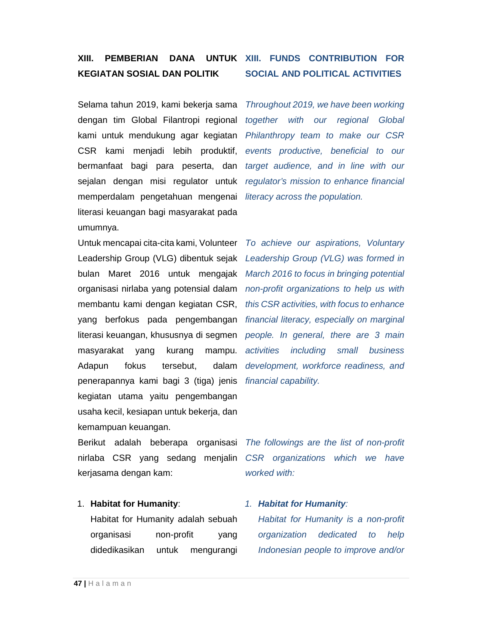## **XIII. PEMBERIAN DANA UNTUK XIII. FUNDS CONTRIBUTION FOR KEGIATAN SOSIAL DAN POLITIK**

Selama tahun 2019, kami bekerja sama dengan tim Global Filantropi regional kami untuk mendukung agar kegiatan CSR kami menjadi lebih produktif, bermanfaat bagi para peserta, dan sejalan dengan misi regulator untuk memperdalam pengetahuan mengenai literasi keuangan bagi masyarakat pada umumnya.

Untuk mencapai cita-cita kami, Volunteer Leadership Group (VLG) dibentuk sejak bulan Maret 2016 untuk mengajak March 2016 to focus in bringing potential organisasi nirlaba yang potensial dalam non-profit organizations to help us with membantu kami dengan kegiatan CSR, this CSR activities, with focus to enhance yang berfokus pada pengembangan financial literacy, especially on marginal literasi keuangan, khususnya di segmen people. In general, there are 3 main masyarakat yang kurang mampu. Adapun fokus tersebut, dalam penerapannya kami bagi 3 (tiga) jenis financial capability. kegiatan utama yaitu pengembangan usaha kecil, kesiapan untuk bekerja, dan kemampuan keuangan.

nirlaba CSR yang sedang menjalin CSR organizations which we have kerjasama dengan kam:

### 1. **Habitat for Humanity**:

Habitat for Humanity adalah sebuah organisasi non-profit yang didedikasikan untuk mengurangi

# **SOCIAL AND POLITICAL ACTIVITIES**

Throughout 2019, we have been working together with our regional Global Philanthropy team to make our CSR events productive, beneficial to our target audience, and in line with our regulator's mission to enhance financial literacy across the population.

To achieve our aspirations, Voluntary Leadership Group (VLG) was formed in activities including small business development, workforce readiness, and

Berikut adalah beberapa organisasi The followings are the list of non-profit worked with:

### 1. **Habitat for Humanity**:

Habitat for Humanity is a non-profit organization dedicated to help Indonesian people to improve and/or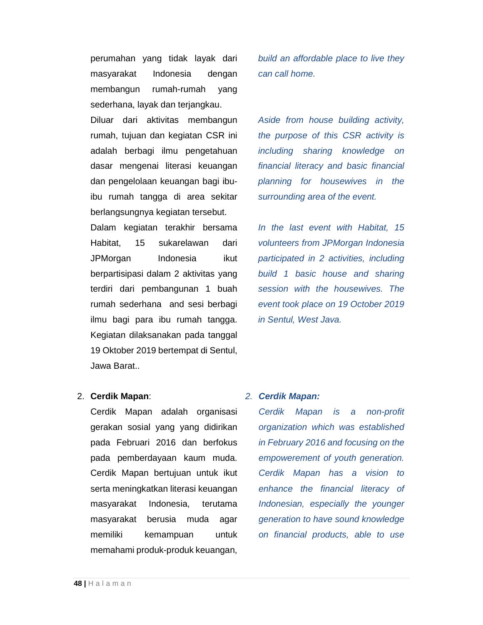perumahan yang tidak layak dari masyarakat Indonesia dengan membangun rumah-rumah yang sederhana, layak dan terjangkau.

Diluar dari aktivitas membangun rumah, tujuan dan kegiatan CSR ini adalah berbagi ilmu pengetahuan dasar mengenai literasi keuangan dan pengelolaan keuangan bagi ibuibu rumah tangga di area sekitar berlangsungnya kegiatan tersebut.

Dalam kegiatan terakhir bersama Habitat, 15 sukarelawan dari JPMorgan Indonesia ikut berpartisipasi dalam 2 aktivitas yang terdiri dari pembangunan 1 buah rumah sederhana and sesi berbagi ilmu bagi para ibu rumah tangga. Kegiatan dilaksanakan pada tanggal 19 Oktober 2019 bertempat di Sentul, Jawa Barat..

build an affordable place to live they can call home.

Aside from house building activity, the purpose of this CSR activity is including sharing knowledge on financial literacy and basic financial planning for housewives in the surrounding area of the event.

In the last event with Habitat, 15 volunteers from JPMorgan Indonesia participated in 2 activities, including build 1 basic house and sharing session with the housewives. The event took place on 19 October 2019 in Sentul, West Java.

### 2. **Cerdik Mapan**:

Cerdik Mapan adalah organisasi gerakan sosial yang yang didirikan pada Februari 2016 dan berfokus pada pemberdayaan kaum muda. Cerdik Mapan bertujuan untuk ikut serta meningkatkan literasi keuangan masyarakat Indonesia, terutama masyarakat berusia muda agar memiliki kemampuan untuk memahami produk-produk keuangan,

### 2. **Cerdik Mapan:**

Cerdik Mapan is a non-profit organization which was established in February 2016 and focusing on the empowerement of youth generation. Cerdik Mapan has a vision to enhance the financial literacy of Indonesian, especially the younger generation to have sound knowledge on financial products, able to use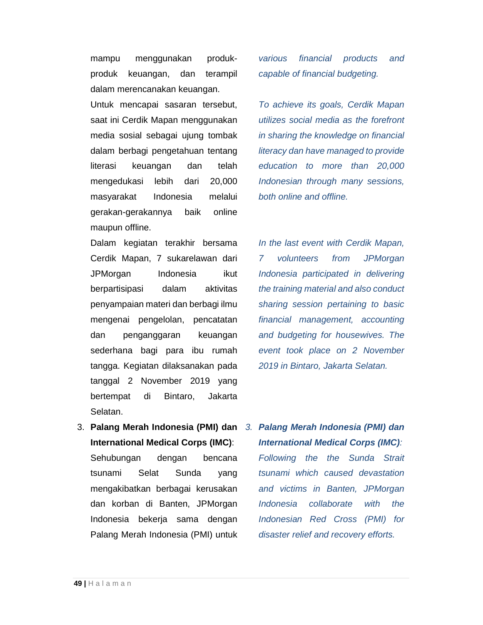mampu menggunakan produkproduk keuangan, dan terampil dalam merencanakan keuangan.

Untuk mencapai sasaran tersebut, saat ini Cerdik Mapan menggunakan media sosial sebagai ujung tombak dalam berbagi pengetahuan tentang literasi keuangan dan telah mengedukasi lebih dari 20,000 masyarakat Indonesia melalui gerakan-gerakannya baik online maupun offline.

Dalam kegiatan terakhir bersama Cerdik Mapan, 7 sukarelawan dari JPMorgan Indonesia ikut berpartisipasi dalam aktivitas penyampaian materi dan berbagi ilmu mengenai pengelolan, pencatatan dan penganggaran keuangan sederhana bagi para ibu rumah tangga. Kegiatan dilaksanakan pada tanggal 2 November 2019 yang bertempat di Bintaro, Jakarta Selatan.

**International Medical Corps (IMC)**: Sehubungan dengan bencana tsunami Selat Sunda yang mengakibatkan berbagai kerusakan dan korban di Banten, JPMorgan Indonesia bekerja sama dengan Palang Merah Indonesia (PMI) untuk various financial products and capable of financial budgeting.

To achieve its goals, Cerdik Mapan utilizes social media as the forefront in sharing the knowledge on financial literacy dan have managed to provide education to more than 20,000 Indonesian through many sessions, both online and offline.

In the last event with Cerdik Mapan, 7 volunteers from JPMorgan Indonesia participated in delivering the training material and also conduct sharing session pertaining to basic financial management, accounting and budgeting for housewives. The event took place on 2 November 2019 in Bintaro, Jakarta Selatan.

3. **Palang Merah Indonesia (PMI) dan**  3. **Palang Merah Indonesia (PMI) dan International Medical Corps (IMC)**:

> Following the the Sunda Strait tsunami which caused devastation and victims in Banten, JPMorgan Indonesia collaborate with the Indonesian Red Cross (PMI) for disaster relief and recovery efforts.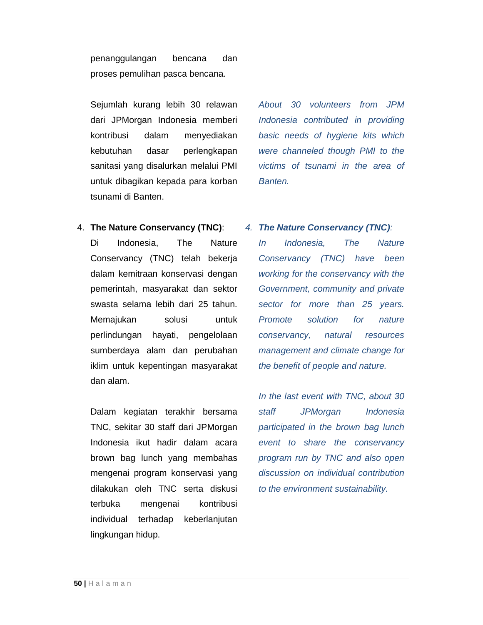penanggulangan bencana dan proses pemulihan pasca bencana.

Sejumlah kurang lebih 30 relawan dari JPMorgan Indonesia memberi kontribusi dalam menyediakan kebutuhan dasar perlengkapan sanitasi yang disalurkan melalui PMI untuk dibagikan kepada para korban tsunami di Banten.

About 30 volunteers from JPM Indonesia contributed in providing basic needs of hygiene kits which were channeled though PMI to the victims of tsunami in the area of Banten.

4. **The Nature Conservancy (TNC)**:

Di Indonesia, The Nature Conservancy (TNC) telah bekerja dalam kemitraan konservasi dengan pemerintah, masyarakat dan sektor swasta selama lebih dari 25 tahun. Memajukan solusi untuk perlindungan hayati, pengelolaan sumberdaya alam dan perubahan iklim untuk kepentingan masyarakat dan alam.

Dalam kegiatan terakhir bersama TNC, sekitar 30 staff dari JPMorgan Indonesia ikut hadir dalam acara brown bag lunch yang membahas mengenai program konservasi yang dilakukan oleh TNC serta diskusi terbuka mengenai kontribusi individual terhadap keberlanjutan lingkungan hidup.

## 4. **The Nature Conservancy (TNC)**:

In Indonesia, The Nature Conservancy (TNC) have been working for the conservancy with the Government, community and private sector for more than 25 years. Promote solution for nature conservancy, natural resources management and climate change for the benefit of people and nature.

In the last event with TNC, about 30 staff JPMorgan Indonesia participated in the brown bag lunch event to share the conservancy program run by TNC and also open discussion on individual contribution to the environment sustainability.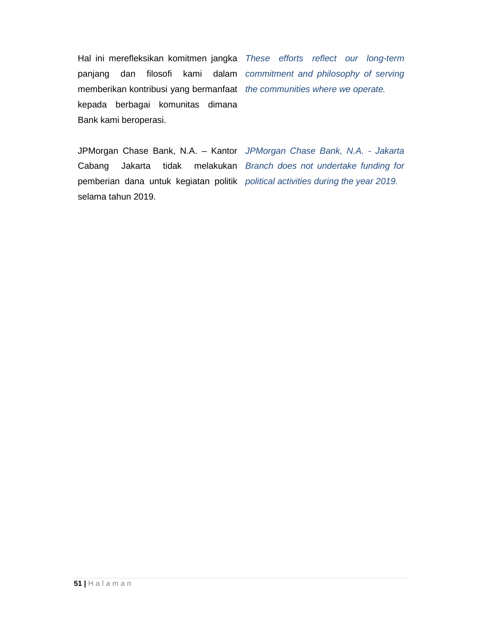Hal ini merefleksikan komitmen jangka These efforts reflect our long-term panjang dan filosofi kami dalam commitment and philosophy of serving memberikan kontribusi yang bermanfaat the communities where we operate. kepada berbagai komunitas dimana Bank kami beroperasi.

JPMorgan Chase Bank, N.A. – Kantor JPMorgan Chase Bank, N.A. - Jakarta Cabang Jakarta tidak melakukan Branch does not undertake funding for pemberian dana untuk kegiatan politik political activities during the year 2019. selama tahun 2019.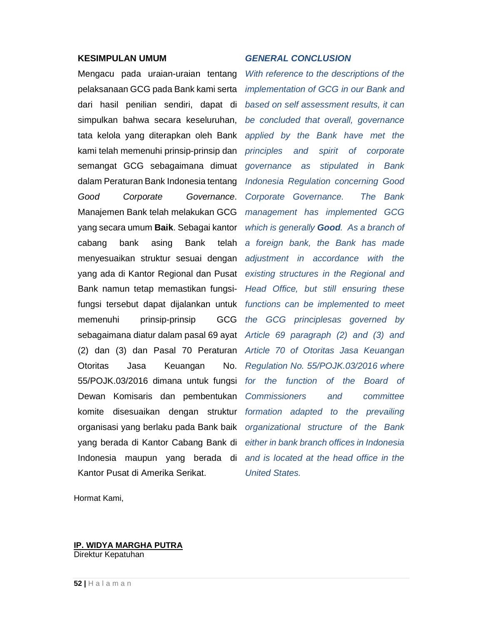### **KESIMPULAN UMUM**

Mengacu pada uraian-uraian tentang pelaksanaan GCG pada Bank kami serta dari hasil penilian sendiri, dapat di simpulkan bahwa secara keseluruhan, tata kelola yang diterapkan oleh Bank kami telah memenuhi prinsip-prinsip dan semangat GCG sebagaimana dimuat dalam Peraturan Bank Indonesia tentang Good Corporate Governance. Manajemen Bank telah melakukan GCG yang secara umum **Baik**. Sebagai kantor cabang bank asing Bank telah menyesuaikan struktur sesuai dengan yang ada di Kantor Regional dan Pusat Bank namun tetap memastikan fungsifungsi tersebut dapat dijalankan untuk functions can be implemented to meet memenuhi prinsip-prinsip GCG sebagaimana diatur dalam pasal 69 ayat Article 69 paragraph (2) and (3) and (2) dan (3) dan Pasal 70 Peraturan Article 70 of Otoritas Jasa Keuangan Otoritas Jasa Keuangan No. 55/POJK.03/2016 dimana untuk fungsi Dewan Komisaris dan pembentukan komite disesuaikan dengan struktur formation adapted to the prevailing organisasi yang berlaku pada Bank baik yang berada di Kantor Cabang Bank di Indonesia maupun yang berada di and is located at the head office in the Kantor Pusat di Amerika Serikat.

### **GENERAL CONCLUSION**

With reference to the descriptions of the implementation of GCG in our Bank and based on self assessment results, it can be concluded that overall, governance applied by the Bank have met the principles and spirit of corporate governance as stipulated in Bank Indonesia Regulation concerning Good Corporate Governance. The Bank management has implemented GCG which is generally **Good**. As a branch of a foreign bank, the Bank has made adjustment in accordance with the existing structures in the Regional and Head Office, but still ensuring these the GCG principlesas governed by Regulation No. 55/POJK.03/2016 where for the function of the Board of Commissioners and committee organizational structure of the Bank either in bank branch offices in Indonesia United States.

Hormat Kami,

#### **IP. WIDYA MARGHA PUTRA**  Direktur Kepatuhan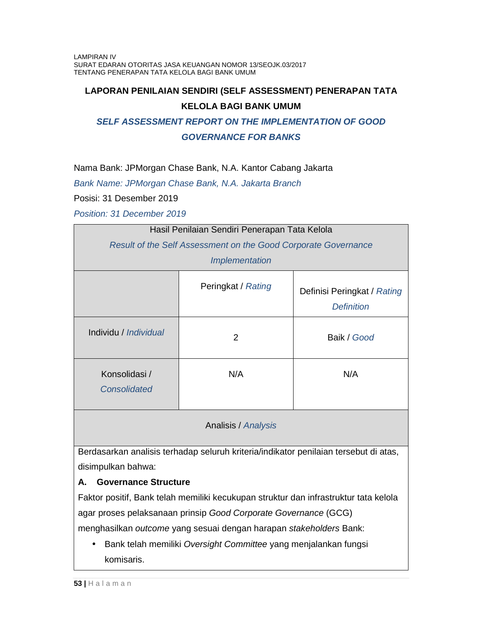## **LAPORAN PENILAIAN SENDIRI (SELF ASSESSMENT) PENERAPAN TATA**

### **KELOLA BAGI BANK UMUM**

## **SELF ASSESSMENT REPORT ON THE IMPLEMENTATION OF GOOD**

### **GOVERNANCE FOR BANKS**

Nama Bank: JPMorgan Chase Bank, N.A. Kantor Cabang Jakarta

Bank Name: JPMorgan Chase Bank, N.A. Jakarta Branch

Posisi: 31 Desember 2019

Position: 31 December 2019

| Hasil Penilaian Sendiri Penerapan Tata Kelola                  |                    |                                                  |  |  |
|----------------------------------------------------------------|--------------------|--------------------------------------------------|--|--|
| Result of the Self Assessment on the Good Corporate Governance |                    |                                                  |  |  |
| <i><b>Implementation</b></i>                                   |                    |                                                  |  |  |
|                                                                | Peringkat / Rating | Definisi Peringkat / Rating<br><b>Definition</b> |  |  |
| Individu / Individual                                          | $\overline{2}$     | Baik / Good                                      |  |  |
| Konsolidasi /<br><b>Consolidated</b>                           | N/A                | N/A                                              |  |  |

## Analisis / Analysis

Berdasarkan analisis terhadap seluruh kriteria/indikator penilaian tersebut di atas, disimpulkan bahwa:

## **A. Governance Structure**

Faktor positif, Bank telah memiliki kecukupan struktur dan infrastruktur tata kelola agar proses pelaksanaan prinsip Good Corporate Governance (GCG) menghasilkan outcome yang sesuai dengan harapan stakeholders Bank:

• Bank telah memiliki Oversight Committee yang menjalankan fungsi komisaris.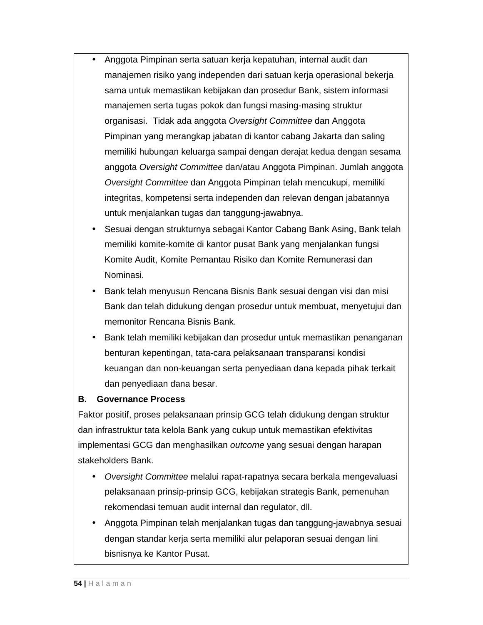- Anggota Pimpinan serta satuan kerja kepatuhan, internal audit dan manajemen risiko yang independen dari satuan kerja operasional bekerja sama untuk memastikan kebijakan dan prosedur Bank, sistem informasi manajemen serta tugas pokok dan fungsi masing-masing struktur organisasi. Tidak ada anggota Oversight Committee dan Anggota Pimpinan yang merangkap jabatan di kantor cabang Jakarta dan saling memiliki hubungan keluarga sampai dengan derajat kedua dengan sesama anggota Oversight Committee dan/atau Anggota Pimpinan. Jumlah anggota Oversight Committee dan Anggota Pimpinan telah mencukupi, memiliki integritas, kompetensi serta independen dan relevan dengan jabatannya untuk menjalankan tugas dan tanggung-jawabnya.
	- Sesuai dengan strukturnya sebagai Kantor Cabang Bank Asing, Bank telah memiliki komite-komite di kantor pusat Bank yang menjalankan fungsi Komite Audit, Komite Pemantau Risiko dan Komite Remunerasi dan Nominasi.
	- Bank telah menyusun Rencana Bisnis Bank sesuai dengan visi dan misi Bank dan telah didukung dengan prosedur untuk membuat, menyetujui dan memonitor Rencana Bisnis Bank.
	- Bank telah memiliki kebijakan dan prosedur untuk memastikan penanganan benturan kepentingan, tata-cara pelaksanaan transparansi kondisi keuangan dan non-keuangan serta penyediaan dana kepada pihak terkait dan penyediaan dana besar.

## **B. Governance Process**

Faktor positif, proses pelaksanaan prinsip GCG telah didukung dengan struktur dan infrastruktur tata kelola Bank yang cukup untuk memastikan efektivitas implementasi GCG dan menghasilkan outcome yang sesuai dengan harapan stakeholders Bank.

- Oversight Committee melalui rapat-rapatnya secara berkala mengevaluasi pelaksanaan prinsip-prinsip GCG, kebijakan strategis Bank, pemenuhan rekomendasi temuan audit internal dan regulator, dll.
- Anggota Pimpinan telah menjalankan tugas dan tanggung-jawabnya sesuai dengan standar kerja serta memiliki alur pelaporan sesuai dengan lini bisnisnya ke Kantor Pusat.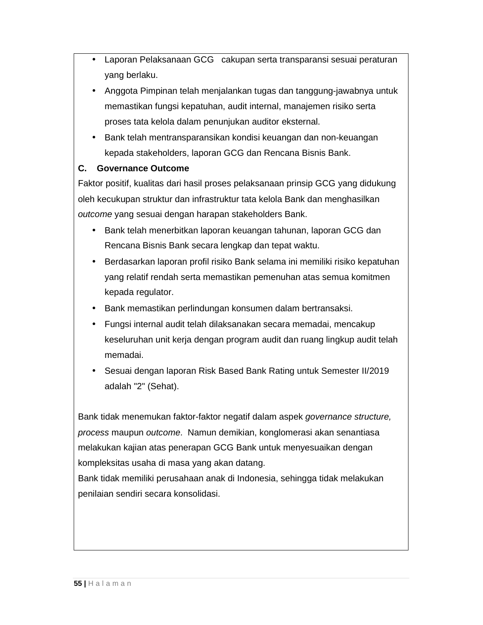- Laporan Pelaksanaan GCG cakupan serta transparansi sesuai peraturan yang berlaku.
- Anggota Pimpinan telah menjalankan tugas dan tanggung-jawabnya untuk memastikan fungsi kepatuhan, audit internal, manajemen risiko serta proses tata kelola dalam penunjukan auditor eksternal.
- Bank telah mentransparansikan kondisi keuangan dan non-keuangan kepada stakeholders, laporan GCG dan Rencana Bisnis Bank.

## **C. Governance Outcome**

Faktor positif, kualitas dari hasil proses pelaksanaan prinsip GCG yang didukung oleh kecukupan struktur dan infrastruktur tata kelola Bank dan menghasilkan outcome yang sesuai dengan harapan stakeholders Bank.

- Bank telah menerbitkan laporan keuangan tahunan, laporan GCG dan Rencana Bisnis Bank secara lengkap dan tepat waktu.
- Berdasarkan laporan profil risiko Bank selama ini memiliki risiko kepatuhan yang relatif rendah serta memastikan pemenuhan atas semua komitmen kepada regulator.
- Bank memastikan perlindungan konsumen dalam bertransaksi.
- Fungsi internal audit telah dilaksanakan secara memadai, mencakup keseluruhan unit kerja dengan program audit dan ruang lingkup audit telah memadai.
- Sesuai dengan laporan Risk Based Bank Rating untuk Semester II/2019 adalah "2" (Sehat).

Bank tidak menemukan faktor-faktor negatif dalam aspek governance structure, process maupun outcome. Namun demikian, konglomerasi akan senantiasa melakukan kajian atas penerapan GCG Bank untuk menyesuaikan dengan kompleksitas usaha di masa yang akan datang.

Bank tidak memiliki perusahaan anak di Indonesia, sehingga tidak melakukan penilaian sendiri secara konsolidasi.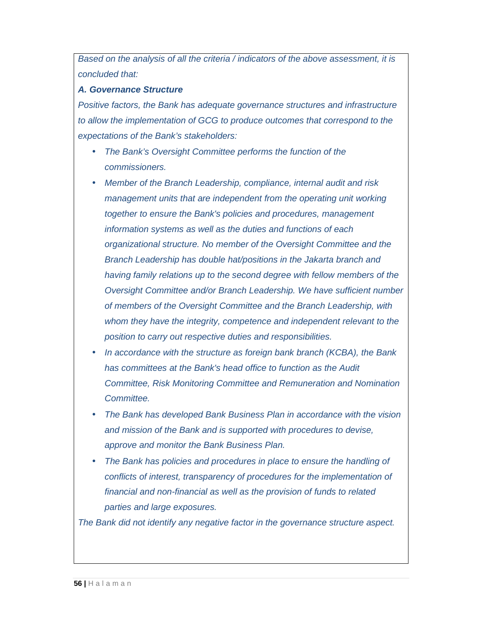Based on the analysis of all the criteria / indicators of the above assessment, it is concluded that:

### **A. Governance Structure**

Positive factors, the Bank has adequate governance structures and infrastructure to allow the implementation of GCG to produce outcomes that correspond to the expectations of the Bank's stakeholders:

- The Bank's Oversight Committee performs the function of the commissioners.
- Member of the Branch Leadership, compliance, internal audit and risk management units that are independent from the operating unit working together to ensure the Bank's policies and procedures, management information systems as well as the duties and functions of each organizational structure. No member of the Oversight Committee and the Branch Leadership has double hat/positions in the Jakarta branch and having family relations up to the second degree with fellow members of the Oversight Committee and/or Branch Leadership. We have sufficient number of members of the Oversight Committee and the Branch Leadership, with whom they have the integrity, competence and independent relevant to the position to carry out respective duties and responsibilities.
- In accordance with the structure as foreign bank branch (KCBA), the Bank has committees at the Bank's head office to function as the Audit Committee, Risk Monitoring Committee and Remuneration and Nomination Committee.
- The Bank has developed Bank Business Plan in accordance with the vision and mission of the Bank and is supported with procedures to devise, approve and monitor the Bank Business Plan.
- The Bank has policies and procedures in place to ensure the handling of conflicts of interest, transparency of procedures for the implementation of financial and non-financial as well as the provision of funds to related parties and large exposures.

The Bank did not identify any negative factor in the governance structure aspect.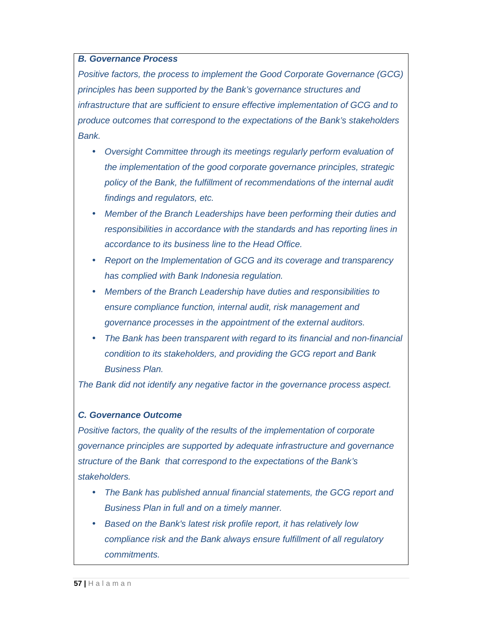### **B. Governance Process**

Positive factors, the process to implement the Good Corporate Governance (GCG) principles has been supported by the Bank's governance structures and infrastructure that are sufficient to ensure effective implementation of GCG and to produce outcomes that correspond to the expectations of the Bank's stakeholders Bank.

- Oversight Committee through its meetings regularly perform evaluation of the implementation of the good corporate governance principles, strategic policy of the Bank, the fulfillment of recommendations of the internal audit findings and regulators, etc.
- Member of the Branch Leaderships have been performing their duties and responsibilities in accordance with the standards and has reporting lines in accordance to its business line to the Head Office.
- Report on the Implementation of GCG and its coverage and transparency has complied with Bank Indonesia regulation.
- Members of the Branch Leadership have duties and responsibilities to ensure compliance function, internal audit, risk management and governance processes in the appointment of the external auditors.
- The Bank has been transparent with regard to its financial and non-financial condition to its stakeholders, and providing the GCG report and Bank Business Plan.

The Bank did not identify any negative factor in the governance process aspect.

### **C. Governance Outcome**

Positive factors, the quality of the results of the implementation of corporate governance principles are supported by adequate infrastructure and governance structure of the Bank that correspond to the expectations of the Bank's stakeholders.

- The Bank has published annual financial statements, the GCG report and Business Plan in full and on a timely manner.
- Based on the Bank's latest risk profile report, it has relatively low compliance risk and the Bank always ensure fulfillment of all regulatory commitments.